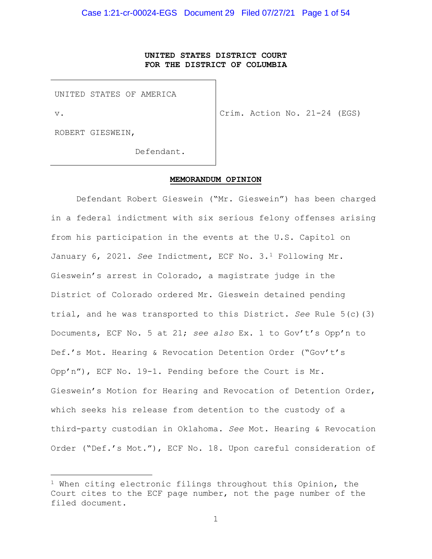# **UNITED STATES DISTRICT COURT FOR THE DISTRICT OF COLUMBIA**

UNITED STATES OF AMERICA

v.

Crim. Action No. 21-24 (EGS)

ROBERT GIESWEIN,

Defendant.

#### **MEMORANDUM OPINION**

Defendant Robert Gieswein ("Mr. Gieswein") has been charged in a federal indictment with six serious felony offenses arising from his participation in the events at the U.S. Capitol on January 6, 2021. *See* Indictment, ECF No. 3.1 Following Mr. Gieswein's arrest in Colorado, a magistrate judge in the District of Colorado ordered Mr. Gieswein detained pending trial, and he was transported to this District. *See* Rule 5(c)(3) Documents, ECF No. 5 at 21; *see also* Ex. 1 to Gov't's Opp'n to Def.'s Mot. Hearing & Revocation Detention Order ("Gov't's Opp'n"), ECF No. 19-1. Pending before the Court is Mr. Gieswein's Motion for Hearing and Revocation of Detention Order, which seeks his release from detention to the custody of a third-party custodian in Oklahoma. *See* Mot. Hearing & Revocation Order ("Def.'s Mot."), ECF No. 18. Upon careful consideration of

 $1$  When citing electronic filings throughout this Opinion, the Court cites to the ECF page number, not the page number of the filed document.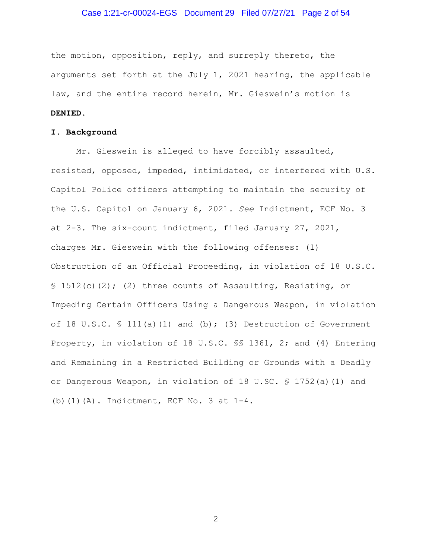## Case 1:21-cr-00024-EGS Document 29 Filed 07/27/21 Page 2 of 54

the motion, opposition, reply, and surreply thereto, the arguments set forth at the July 1, 2021 hearing, the applicable law, and the entire record herein, Mr. Gieswein's motion is **DENIED**.

#### **I. Background**

Mr. Gieswein is alleged to have forcibly assaulted, resisted, opposed, impeded, intimidated, or interfered with U.S. Capitol Police officers attempting to maintain the security of the U.S. Capitol on January 6, 2021. *See* Indictment, ECF No. 3 at 2-3. The six-count indictment, filed January 27, 2021, charges Mr. Gieswein with the following offenses: (1) Obstruction of an Official Proceeding, in violation of 18 U.S.C. § 1512(c)(2); (2) three counts of Assaulting, Resisting, or Impeding Certain Officers Using a Dangerous Weapon, in violation of 18 U.S.C.  $\frac{111(a)}{11}$  and (b); (3) Destruction of Government Property, in violation of 18 U.S.C. §§ 1361, 2; and (4) Entering and Remaining in a Restricted Building or Grounds with a Deadly or Dangerous Weapon, in violation of 18 U.SC. § 1752(a)(1) and (b)(1)(A). Indictment, ECF No. 3 at 1-4.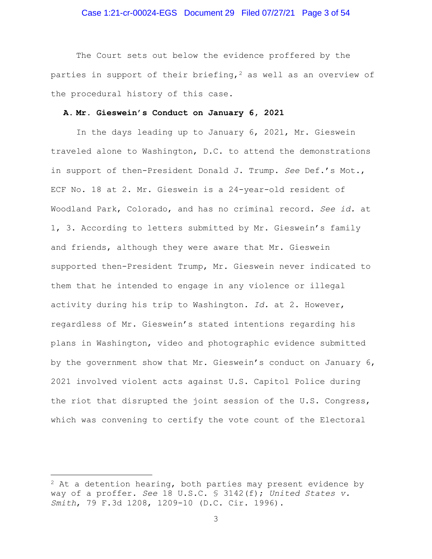#### Case 1:21-cr-00024-EGS Document 29 Filed 07/27/21 Page 3 of 54

The Court sets out below the evidence proffered by the parties in support of their briefing,  $2$  as well as an overview of the procedural history of this case.

#### **A. Mr. Gieswein's Conduct on January 6, 2021**

In the days leading up to January 6, 2021, Mr. Gieswein traveled alone to Washington, D.C. to attend the demonstrations in support of then-President Donald J. Trump. *See* Def.'s Mot., ECF No. 18 at 2. Mr. Gieswein is a 24-year-old resident of Woodland Park, Colorado, and has no criminal record. *See id.* at 1, 3. According to letters submitted by Mr. Gieswein's family and friends, although they were aware that Mr. Gieswein supported then-President Trump, Mr. Gieswein never indicated to them that he intended to engage in any violence or illegal activity during his trip to Washington. *Id.* at 2. However, regardless of Mr. Gieswein's stated intentions regarding his plans in Washington, video and photographic evidence submitted by the government show that Mr. Gieswein's conduct on January 6, 2021 involved violent acts against U.S. Capitol Police during the riot that disrupted the joint session of the U.S. Congress, which was convening to certify the vote count of the Electoral

 $2$  At a detention hearing, both parties may present evidence by way of a proffer. *See* 18 U.S.C. § 3142(f); *United States v. Smith*, 79 F.3d 1208, 1209-10 (D.C. Cir. 1996).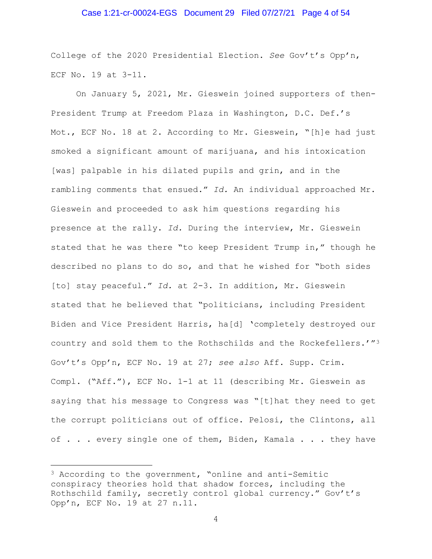#### Case 1:21-cr-00024-EGS Document 29 Filed 07/27/21 Page 4 of 54

College of the 2020 Presidential Election. *See* Gov't's Opp'n, ECF No. 19 at 3-11.

On January 5, 2021, Mr. Gieswein joined supporters of then-President Trump at Freedom Plaza in Washington, D.C. Def.'s Mot., ECF No. 18 at 2. According to Mr. Gieswein, "[h]e had just smoked a significant amount of marijuana, and his intoxication [was] palpable in his dilated pupils and grin, and in the rambling comments that ensued." *Id.* An individual approached Mr. Gieswein and proceeded to ask him questions regarding his presence at the rally. *Id.* During the interview, Mr. Gieswein stated that he was there "to keep President Trump in," though he described no plans to do so, and that he wished for "both sides [to] stay peaceful." *Id.* at 2-3. In addition, Mr. Gieswein stated that he believed that "politicians, including President Biden and Vice President Harris, ha[d] 'completely destroyed our country and sold them to the Rothschilds and the Rockefellers.'"3 Gov't's Opp'n, ECF No. 19 at 27; *see also* Aff. Supp. Crim. Compl. ("Aff."), ECF No. 1-1 at 11 (describing Mr. Gieswein as saying that his message to Congress was "[t]hat they need to get the corrupt politicians out of office. Pelosi, the Clintons, all of . . . every single one of them, Biden, Kamala . . . they have

<sup>3</sup> According to the government, "online and anti-Semitic conspiracy theories hold that shadow forces, including the Rothschild family, secretly control global currency." Gov't's Opp'n, ECF No. 19 at 27 n.11.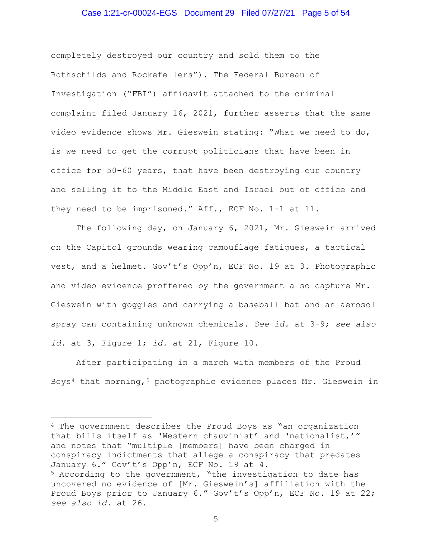## Case 1:21-cr-00024-EGS Document 29 Filed 07/27/21 Page 5 of 54

completely destroyed our country and sold them to the Rothschilds and Rockefellers"). The Federal Bureau of Investigation ("FBI") affidavit attached to the criminal complaint filed January 16, 2021, further asserts that the same video evidence shows Mr. Gieswein stating: "What we need to do, is we need to get the corrupt politicians that have been in office for 50-60 years, that have been destroying our country and selling it to the Middle East and Israel out of office and they need to be imprisoned." Aff., ECF No. 1-1 at 11.

The following day, on January 6, 2021, Mr. Gieswein arrived on the Capitol grounds wearing camouflage fatigues, a tactical vest, and a helmet. Gov't's Opp'n, ECF No. 19 at 3. Photographic and video evidence proffered by the government also capture Mr. Gieswein with goggles and carrying a baseball bat and an aerosol spray can containing unknown chemicals. *See id.* at 3-9; *see also id.* at 3, Figure 1; *id.* at 21, Figure 10.

After participating in a march with members of the Proud Boys<sup>4</sup> that morning,<sup>5</sup> photographic evidence places Mr. Gieswein in

<sup>4</sup> The government describes the Proud Boys as "an organization that bills itself as 'Western chauvinist' and 'nationalist,'" and notes that "multiple [members] have been charged in conspiracy indictments that allege a conspiracy that predates January 6." Gov't's Opp'n, ECF No. 19 at 4. <sup>5</sup> According to the government, "the investigation to date has uncovered no evidence of [Mr. Gieswein's] affiliation with the Proud Boys prior to January 6." Gov't's Opp'n, ECF No. 19 at 22; *see also id.* at 26.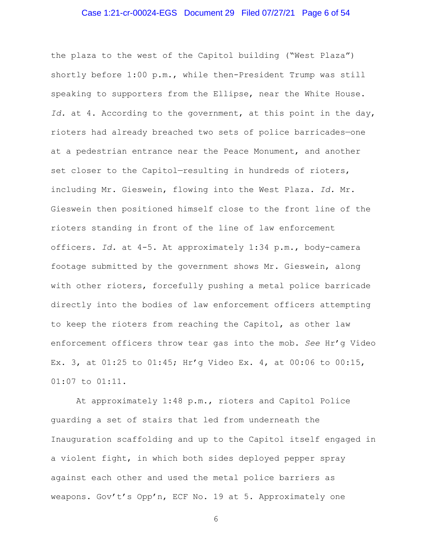## Case 1:21-cr-00024-EGS Document 29 Filed 07/27/21 Page 6 of 54

the plaza to the west of the Capitol building ("West Plaza") shortly before 1:00 p.m., while then-President Trump was still speaking to supporters from the Ellipse, near the White House. *Id.* at 4. According to the government, at this point in the day, rioters had already breached two sets of police barricades—one at a pedestrian entrance near the Peace Monument, and another set closer to the Capitol-resulting in hundreds of rioters, including Mr. Gieswein, flowing into the West Plaza. *Id.* Mr. Gieswein then positioned himself close to the front line of the rioters standing in front of the line of law enforcement officers. *Id.* at 4-5. At approximately 1:34 p.m., body-camera footage submitted by the government shows Mr. Gieswein, along with other rioters, forcefully pushing a metal police barricade directly into the bodies of law enforcement officers attempting to keep the rioters from reaching the Capitol, as other law enforcement officers throw tear gas into the mob. *See* Hr'g Video Ex. 3, at 01:25 to 01:45; Hr'g Video Ex. 4, at 00:06 to 00:15, 01:07 to 01:11.

At approximately 1:48 p.m., rioters and Capitol Police guarding a set of stairs that led from underneath the Inauguration scaffolding and up to the Capitol itself engaged in a violent fight, in which both sides deployed pepper spray against each other and used the metal police barriers as weapons. Gov't's Opp'n, ECF No. 19 at 5. Approximately one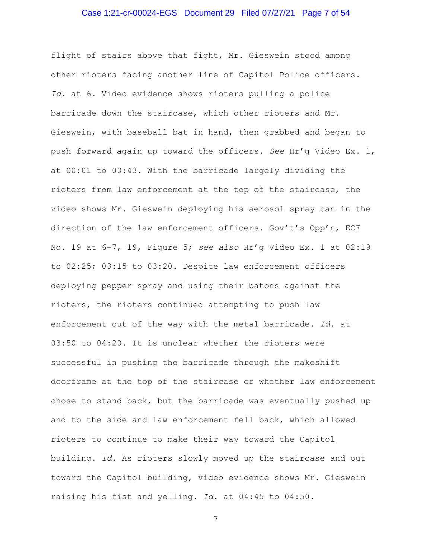## Case 1:21-cr-00024-EGS Document 29 Filed 07/27/21 Page 7 of 54

flight of stairs above that fight, Mr. Gieswein stood among other rioters facing another line of Capitol Police officers. *Id.* at 6. Video evidence shows rioters pulling a police barricade down the staircase, which other rioters and Mr. Gieswein, with baseball bat in hand, then grabbed and began to push forward again up toward the officers. *See* Hr'g Video Ex. 1, at 00:01 to 00:43. With the barricade largely dividing the rioters from law enforcement at the top of the staircase, the video shows Mr. Gieswein deploying his aerosol spray can in the direction of the law enforcement officers. Gov't's Opp'n, ECF No. 19 at 6-7, 19, Figure 5; *see also* Hr'g Video Ex. 1 at 02:19 to 02:25; 03:15 to 03:20. Despite law enforcement officers deploying pepper spray and using their batons against the rioters, the rioters continued attempting to push law enforcement out of the way with the metal barricade. *Id.* at 03:50 to 04:20. It is unclear whether the rioters were successful in pushing the barricade through the makeshift doorframe at the top of the staircase or whether law enforcement chose to stand back, but the barricade was eventually pushed up and to the side and law enforcement fell back, which allowed rioters to continue to make their way toward the Capitol building. *Id.* As rioters slowly moved up the staircase and out toward the Capitol building, video evidence shows Mr. Gieswein raising his fist and yelling. *Id.* at 04:45 to 04:50.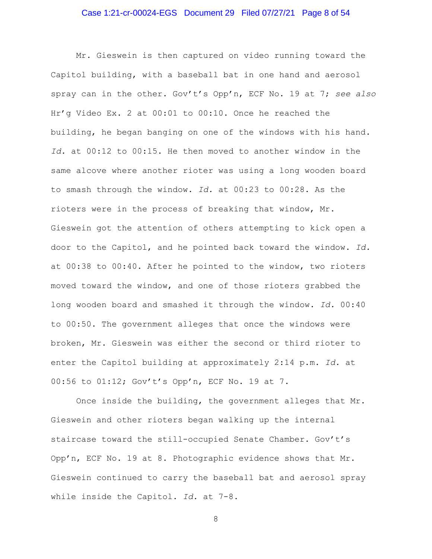## Case 1:21-cr-00024-EGS Document 29 Filed 07/27/21 Page 8 of 54

Mr. Gieswein is then captured on video running toward the Capitol building, with a baseball bat in one hand and aerosol spray can in the other. Gov't's Opp'n, ECF No. 19 at 7; *see also*  Hr'g Video Ex. 2 at 00:01 to 00:10. Once he reached the building, he began banging on one of the windows with his hand. *Id.* at 00:12 to 00:15. He then moved to another window in the same alcove where another rioter was using a long wooden board to smash through the window. *Id.* at 00:23 to 00:28. As the rioters were in the process of breaking that window, Mr. Gieswein got the attention of others attempting to kick open a door to the Capitol, and he pointed back toward the window. *Id.*  at 00:38 to 00:40. After he pointed to the window, two rioters moved toward the window, and one of those rioters grabbed the long wooden board and smashed it through the window. *Id.* 00:40 to 00:50. The government alleges that once the windows were broken, Mr. Gieswein was either the second or third rioter to enter the Capitol building at approximately 2:14 p.m. *Id.* at 00:56 to 01:12; Gov't's Opp'n, ECF No. 19 at 7.

Once inside the building, the government alleges that Mr. Gieswein and other rioters began walking up the internal staircase toward the still-occupied Senate Chamber. Gov't's Opp'n, ECF No. 19 at 8. Photographic evidence shows that Mr. Gieswein continued to carry the baseball bat and aerosol spray while inside the Capitol. *Id.* at 7-8.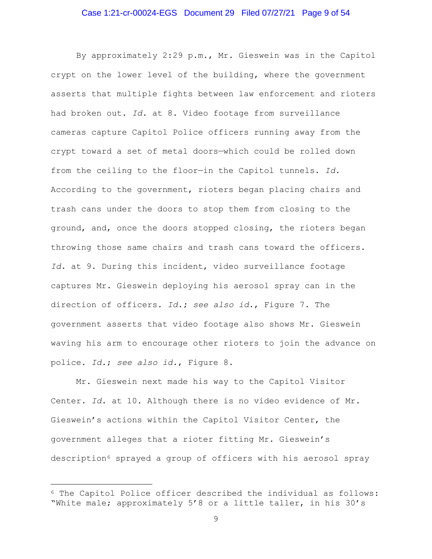## Case 1:21-cr-00024-EGS Document 29 Filed 07/27/21 Page 9 of 54

By approximately 2:29 p.m., Mr. Gieswein was in the Capitol crypt on the lower level of the building, where the government asserts that multiple fights between law enforcement and rioters had broken out. *Id.* at 8. Video footage from surveillance cameras capture Capitol Police officers running away from the crypt toward a set of metal doors—which could be rolled down from the ceiling to the floor—in the Capitol tunnels. *Id.* According to the government, rioters began placing chairs and trash cans under the doors to stop them from closing to the ground, and, once the doors stopped closing, the rioters began throwing those same chairs and trash cans toward the officers. *Id.* at 9. During this incident, video surveillance footage captures Mr. Gieswein deploying his aerosol spray can in the direction of officers. *Id.***;** *see also id.*, Figure 7. The government asserts that video footage also shows Mr. Gieswein waving his arm to encourage other rioters to join the advance on police. *Id.*; *see also id.*, Figure 8.

Mr. Gieswein next made his way to the Capitol Visitor Center. *Id.* at 10. Although there is no video evidence of Mr. Gieswein's actions within the Capitol Visitor Center, the government alleges that a rioter fitting Mr. Gieswein's description6 sprayed a group of officers with his aerosol spray

<sup>6</sup> The Capitol Police officer described the individual as follows: "White male; approximately 5'8 or a little taller, in his 30's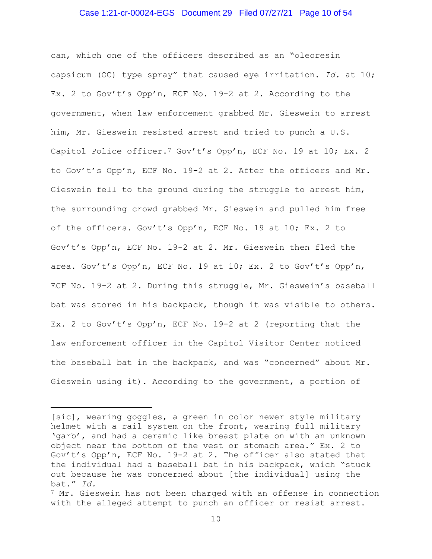#### Case 1:21-cr-00024-EGS Document 29 Filed 07/27/21 Page 10 of 54

can, which one of the officers described as an "oleoresin capsicum (OC) type spray" that caused eye irritation. *Id.* at 10; Ex. 2 to Gov't's Opp'n, ECF No. 19-2 at 2. According to the government, when law enforcement grabbed Mr. Gieswein to arrest him, Mr. Gieswein resisted arrest and tried to punch a U.S. Capitol Police officer.<sup>7</sup> Gov't's Opp'n, ECF No. 19 at 10; Ex. 2 to Gov't's Opp'n, ECF No. 19-2 at 2. After the officers and Mr. Gieswein fell to the ground during the struggle to arrest him, the surrounding crowd grabbed Mr. Gieswein and pulled him free of the officers. Gov't's Opp'n, ECF No. 19 at 10; Ex. 2 to Gov't's Opp'n, ECF No. 19-2 at 2. Mr. Gieswein then fled the area. Gov't's Opp'n, ECF No. 19 at 10; Ex. 2 to Gov't's Opp'n, ECF No. 19-2 at 2. During this struggle, Mr. Gieswein's baseball bat was stored in his backpack, though it was visible to others. Ex. 2 to Gov't's Opp'n, ECF No. 19-2 at 2 (reporting that the law enforcement officer in the Capitol Visitor Center noticed the baseball bat in the backpack, and was "concerned" about Mr. Gieswein using it). According to the government, a portion of

<sup>[</sup>sic], wearing goggles, a green in color newer style military helmet with a rail system on the front, wearing full military 'garb', and had a ceramic like breast plate on with an unknown object near the bottom of the vest or stomach area." Ex. 2 to Gov't's Opp'n, ECF No. 19-2 at 2. The officer also stated that the individual had a baseball bat in his backpack, which "stuck out because he was concerned about [the individual] using the bat." *Id.*

 $7$  Mr. Gieswein has not been charged with an offense in connection with the alleged attempt to punch an officer or resist arrest.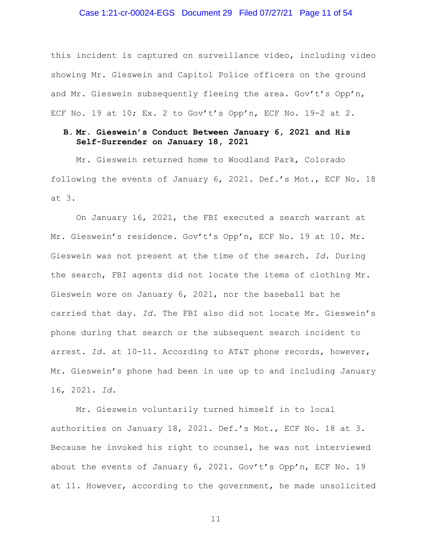#### Case 1:21-cr-00024-EGS Document 29 Filed 07/27/21 Page 11 of 54

this incident is captured on surveillance video, including video showing Mr. Gieswein and Capitol Police officers on the ground and Mr. Gieswein subsequently fleeing the area. Gov't's Opp'n, ECF No. 19 at 10; Ex. 2 to Gov't's Opp'n, ECF No. 19-2 at 2.

## **B. Mr. Gieswein's Conduct Between January 6, 2021 and His Self-Surrender on January 18, 2021**

Mr. Gieswein returned home to Woodland Park, Colorado following the events of January 6, 2021. Def.'s Mot., ECF No. 18 at 3.

On January 16, 2021, the FBI executed a search warrant at Mr. Gieswein's residence. Gov't's Opp'n, ECF No. 19 at 10. Mr. Gieswein was not present at the time of the search. *Id.* During the search, FBI agents did not locate the items of clothing Mr. Gieswein wore on January 6, 2021, nor the baseball bat he carried that day. *Id.* The FBI also did not locate Mr. Gieswein's phone during that search or the subsequent search incident to arrest. *Id.* at 10-11. According to AT&T phone records, however, Mr. Gieswein's phone had been in use up to and including January 16, 2021. *Id.*

Mr. Gieswein voluntarily turned himself in to local authorities on January 18, 2021. Def.'s Mot., ECF No. 18 at 3. Because he invoked his right to counsel, he was not interviewed about the events of January 6, 2021. Gov't's Opp'n, ECF No. 19 at 11. However, according to the government, he made unsolicited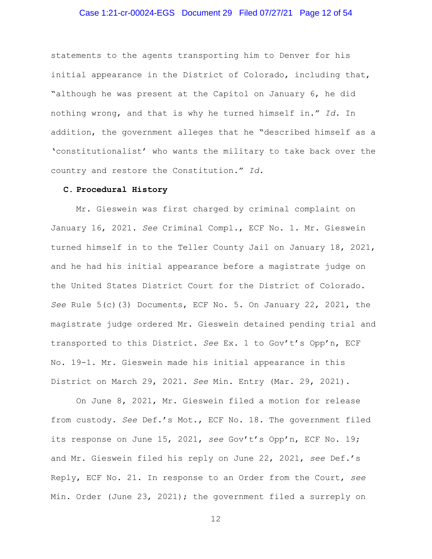## Case 1:21-cr-00024-EGS Document 29 Filed 07/27/21 Page 12 of 54

statements to the agents transporting him to Denver for his initial appearance in the District of Colorado, including that, "although he was present at the Capitol on January 6, he did nothing wrong, and that is why he turned himself in." *Id.* In addition, the government alleges that he "described himself as a 'constitutionalist' who wants the military to take back over the country and restore the Constitution." *Id.*

#### **C. Procedural History**

Mr. Gieswein was first charged by criminal complaint on January 16, 2021. *See* Criminal Compl., ECF No. 1. Mr. Gieswein turned himself in to the Teller County Jail on January 18, 2021, and he had his initial appearance before a magistrate judge on the United States District Court for the District of Colorado. *See* Rule 5(c)(3) Documents, ECF No. 5. On January 22, 2021, the magistrate judge ordered Mr. Gieswein detained pending trial and transported to this District. *See* Ex. 1 to Gov't's Opp'n, ECF No. 19-1. Mr. Gieswein made his initial appearance in this District on March 29, 2021. *See* Min. Entry (Mar. 29, 2021).

On June 8, 2021, Mr. Gieswein filed a motion for release from custody. *See* Def.'s Mot., ECF No. 18. The government filed its response on June 15, 2021, *see* Gov't's Opp'n, ECF No. 19; and Mr. Gieswein filed his reply on June 22, 2021, *see* Def.'s Reply, ECF No. 21. In response to an Order from the Court, *see*  Min. Order (June 23, 2021); the government filed a surreply on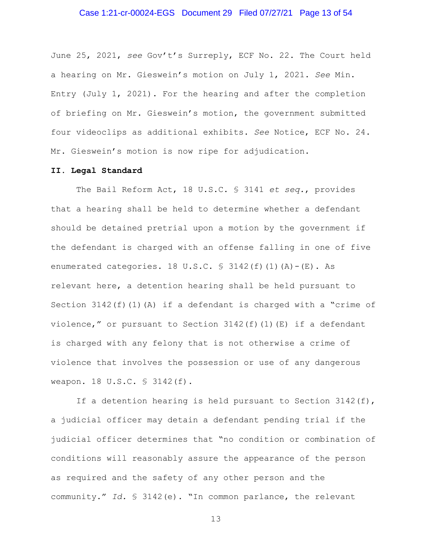#### Case 1:21-cr-00024-EGS Document 29 Filed 07/27/21 Page 13 of 54

June 25, 2021, *see* Gov't's Surreply, ECF No. 22. The Court held a hearing on Mr. Gieswein's motion on July 1, 2021. *See* Min. Entry (July 1, 2021). For the hearing and after the completion of briefing on Mr. Gieswein's motion, the government submitted four videoclips as additional exhibits. *See* Notice, ECF No. 24. Mr. Gieswein's motion is now ripe for adjudication.

#### **II. Legal Standard**

The Bail Reform Act, 18 U.S.C. § 3141 *et seq.*, provides that a hearing shall be held to determine whether a defendant should be detained pretrial upon a motion by the government if the defendant is charged with an offense falling in one of five enumerated categories. 18 U.S.C.  $\frac{1}{2}$  3142(f)(1)(A)-(E). As relevant here, a detention hearing shall be held pursuant to Section 3142(f)(1)(A) if a defendant is charged with a "crime of violence," or pursuant to Section  $3142(f)(1)(E)$  if a defendant is charged with any felony that is not otherwise a crime of violence that involves the possession or use of any dangerous weapon. 18 U.S.C. § 3142(f).

If a detention hearing is held pursuant to Section 3142(f), a judicial officer may detain a defendant pending trial if the judicial officer determines that "no condition or combination of conditions will reasonably assure the appearance of the person as required and the safety of any other person and the community." *Id.* § 3142(e). "In common parlance, the relevant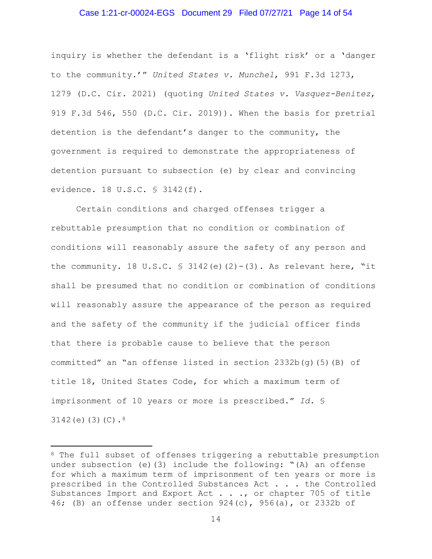#### Case 1:21-cr-00024-EGS Document 29 Filed 07/27/21 Page 14 of 54

inquiry is whether the defendant is a 'flight risk' or a 'danger to the community.'" *United States v. Munchel*, 991 F.3d 1273, 1279 (D.C. Cir. 2021) (quoting *United States v. Vasquez-Benitez*, 919 F.3d 546, 550 (D.C. Cir. 2019)). When the basis for pretrial detention is the defendant's danger to the community, the government is required to demonstrate the appropriateness of detention pursuant to subsection (e) by clear and convincing evidence. 18 U.S.C. § 3142(f).

Certain conditions and charged offenses trigger a rebuttable presumption that no condition or combination of conditions will reasonably assure the safety of any person and the community. 18 U.S.C. § 3142(e)(2)-(3). As relevant here, "it shall be presumed that no condition or combination of conditions will reasonably assure the appearance of the person as required and the safety of the community if the judicial officer finds that there is probable cause to believe that the person committed" an "an offense listed in section  $2332b(q)(5)(B)$  of title 18, United States Code, for which a maximum term of imprisonment of 10 years or more is prescribed." *Id.* § 3142(e) $(3)(C).$ <sup>8</sup>

<sup>8</sup> The full subset of offenses triggering a rebuttable presumption under subsection (e)(3) include the following: "(A) an offense for which a maximum term of imprisonment of ten years or more is prescribed in the Controlled Substances Act . . . the Controlled Substances Import and Export Act . . ., or chapter 705 of title 46; (B) an offense under section  $924(c)$ ,  $956(a)$ , or 2332b of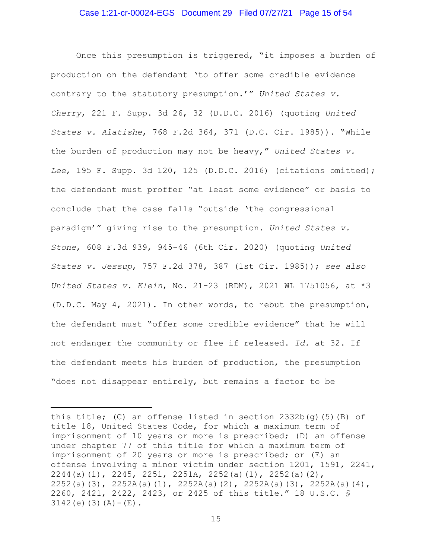#### Case 1:21-cr-00024-EGS Document 29 Filed 07/27/21 Page 15 of 54

Once this presumption is triggered, "it imposes a burden of production on the defendant 'to offer some credible evidence contrary to the statutory presumption.'" *United States v. Cherry*, 221 F. Supp. 3d 26, 32 (D.D.C. 2016) (quoting *United States v. Alatishe*, 768 F.2d 364, 371 (D.C. Cir. 1985)). "While the burden of production may not be heavy," *United States v. Lee*, 195 F. Supp. 3d 120, 125 (D.D.C. 2016) (citations omitted); the defendant must proffer "at least some evidence" or basis to conclude that the case falls "outside 'the congressional paradigm'" giving rise to the presumption. *United States v. Stone*, 608 F.3d 939, 945-46 (6th Cir. 2020) (quoting *United States v. Jessup*, 757 F.2d 378, 387 (1st Cir. 1985)); *see also United States v. Klein*, No. 21-23 (RDM), 2021 WL 1751056, at \*3 (D.D.C. May 4, 2021). In other words, to rebut the presumption, the defendant must "offer some credible evidence" that he will not endanger the community or flee if released. *Id.* at 32. If the defendant meets his burden of production, the presumption "does not disappear entirely, but remains a factor to be

this title; (C) an offense listed in section  $2332b(q)(5)(B)$  of title 18, United States Code, for which a maximum term of imprisonment of 10 years or more is prescribed; (D) an offense under chapter 77 of this title for which a maximum term of imprisonment of 20 years or more is prescribed; or (E) an offense involving a minor victim under section 1201, 1591, 2241, 2244(a)(1), 2245, 2251, 2251A, 2252(a)(1), 2252(a)(2), 2252(a)(3), 2252A(a)(1), 2252A(a)(2), 2252A(a)(3), 2252A(a)(4), 2260, 2421, 2422, 2423, or 2425 of this title." 18 U.S.C. §  $3142(e)$  (3) (A) – (E).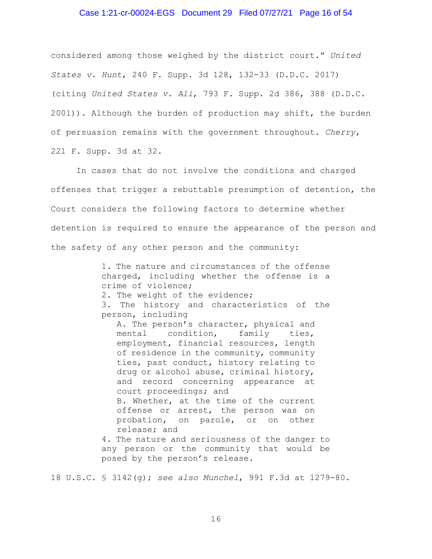#### Case 1:21-cr-00024-EGS Document 29 Filed 07/27/21 Page 16 of 54

considered among those weighed by the district court." *United States v. Hunt*, 240 F. Supp. 3d 128, 132-33 (D.D.C. 2017) (citing *United States v. Ali*, 793 F. Supp. 2d 386, 388 (D.D.C. 2001)). Although the burden of production may shift, the burden of persuasion remains with the government throughout. *Cherry*, 221 F. Supp. 3d at 32.

In cases that do not involve the conditions and charged offenses that trigger a rebuttable presumption of detention, the Court considers the following factors to determine whether detention is required to ensure the appearance of the person and the safety of any other person and the community:

> 1. The nature and circumstances of the offense charged, including whether the offense is a crime of violence;

2. The weight of the evidence;

3. The history and characteristics of the person, including

A. The person's character, physical and mental condition, family ties, employment, financial resources, length of residence in the community, community ties, past conduct, history relating to drug or alcohol abuse, criminal history, and record concerning appearance at court proceedings; and B. Whether, at the time of the current offense or arrest, the person was on probation, on parole, or on other release; and

4. The nature and seriousness of the danger to any person or the community that would be posed by the person's release.

18 U.S.C. § 3142(g); *see also Munchel*, 991 F.3d at 1279-80.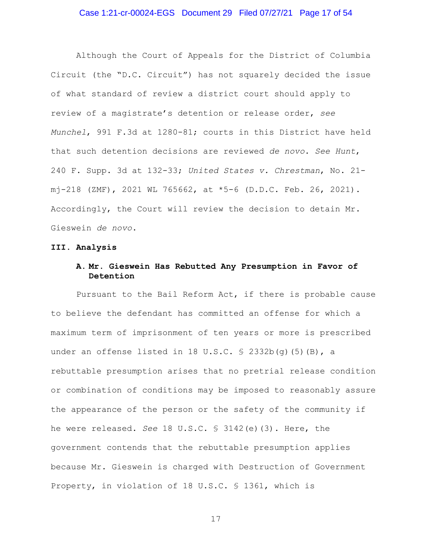## Case 1:21-cr-00024-EGS Document 29 Filed 07/27/21 Page 17 of 54

Although the Court of Appeals for the District of Columbia Circuit (the "D.C. Circuit") has not squarely decided the issue of what standard of review a district court should apply to review of a magistrate's detention or release order, *see Munchel*, 991 F.3d at 1280-81; courts in this District have held that such detention decisions are reviewed *de novo*. *See Hunt*, 240 F. Supp. 3d at 132-33; *United States v. Chrestman*, No. 21 mj-218 (ZMF), 2021 WL 765662, at \*5-6 (D.D.C. Feb. 26, 2021). Accordingly, the Court will review the decision to detain Mr. Gieswein *de novo*.

#### **III. Analysis**

# **A. Mr. Gieswein Has Rebutted Any Presumption in Favor of Detention**

Pursuant to the Bail Reform Act, if there is probable cause to believe the defendant has committed an offense for which a maximum term of imprisonment of ten years or more is prescribed under an offense listed in 18 U.S.C.  $\frac{1}{5}$  2332b(g)(5)(B), a rebuttable presumption arises that no pretrial release condition or combination of conditions may be imposed to reasonably assure the appearance of the person or the safety of the community if he were released. *See* 18 U.S.C. § 3142(e)(3). Here, the government contends that the rebuttable presumption applies because Mr. Gieswein is charged with Destruction of Government Property, in violation of 18 U.S.C. § 1361, which is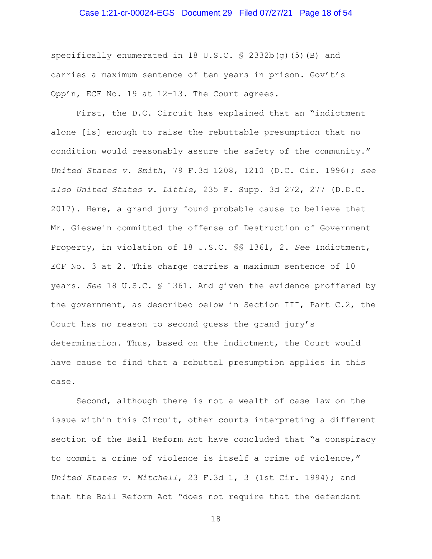#### Case 1:21-cr-00024-EGS Document 29 Filed 07/27/21 Page 18 of 54

specifically enumerated in 18 U.S.C. § 2332b(q)(5)(B) and carries a maximum sentence of ten years in prison. Gov't's Opp'n, ECF No. 19 at 12-13. The Court agrees.

First, the D.C. Circuit has explained that an "indictment alone [is] enough to raise the rebuttable presumption that no condition would reasonably assure the safety of the community." *United States v. Smith*, 79 F.3d 1208, 1210 (D.C. Cir. 1996); *see also United States v. Little*, 235 F. Supp. 3d 272, 277 (D.D.C. 2017). Here, a grand jury found probable cause to believe that Mr. Gieswein committed the offense of Destruction of Government Property, in violation of 18 U.S.C. §§ 1361, 2. *See* Indictment, ECF No. 3 at 2. This charge carries a maximum sentence of 10 years. *See* 18 U.S.C. § 1361. And given the evidence proffered by the government, as described below in Section III, Part C.2, the Court has no reason to second guess the grand jury's determination. Thus, based on the indictment, the Court would have cause to find that a rebuttal presumption applies in this case.

Second, although there is not a wealth of case law on the issue within this Circuit, other courts interpreting a different section of the Bail Reform Act have concluded that "a conspiracy to commit a crime of violence is itself a crime of violence," *United States v. Mitchell*, 23 F.3d 1, 3 (1st Cir. 1994); and that the Bail Reform Act "does not require that the defendant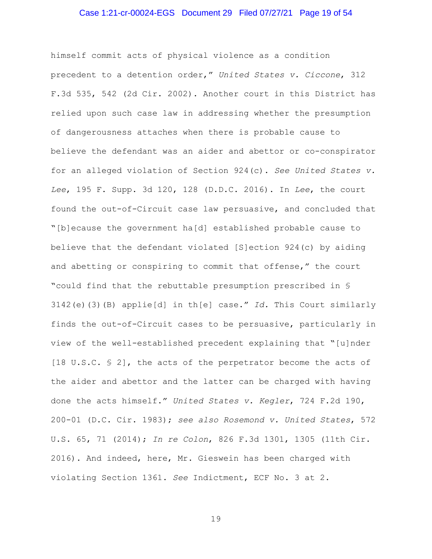#### Case 1:21-cr-00024-EGS Document 29 Filed 07/27/21 Page 19 of 54

himself commit acts of physical violence as a condition precedent to a detention order," *United States v. Ciccone*, 312 F.3d 535, 542 (2d Cir. 2002). Another court in this District has relied upon such case law in addressing whether the presumption of dangerousness attaches when there is probable cause to believe the defendant was an aider and abettor or co-conspirator for an alleged violation of Section 924(c). *See United States v. Lee*, 195 F. Supp. 3d 120, 128 (D.D.C. 2016). In *Lee*, the court found the out-of-Circuit case law persuasive, and concluded that "[b]ecause the government ha[d] established probable cause to believe that the defendant violated [S]ection 924(c) by aiding and abetting or conspiring to commit that offense," the court "could find that the rebuttable presumption prescribed in § 3142(e)(3)(B) applie[d] in th[e] case." *Id.* This Court similarly finds the out-of-Circuit cases to be persuasive, particularly in view of the well-established precedent explaining that "[u]nder [18 U.S.C. § 2], the acts of the perpetrator become the acts of the aider and abettor and the latter can be charged with having done the acts himself." *United States v. Kegler*, 724 F.2d 190, 200-01 (D.C. Cir. 1983); *see also Rosemond v. United States*, 572 U.S. 65, 71 (2014); *In re Colon*, 826 F.3d 1301, 1305 (11th Cir. 2016). And indeed, here, Mr. Gieswein has been charged with violating Section 1361. *See* Indictment, ECF No. 3 at 2.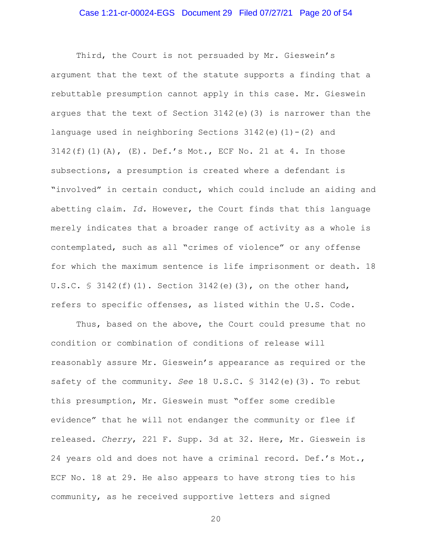#### Case 1:21-cr-00024-EGS Document 29 Filed 07/27/21 Page 20 of 54

Third, the Court is not persuaded by Mr. Gieswein's argument that the text of the statute supports a finding that a rebuttable presumption cannot apply in this case. Mr. Gieswein argues that the text of Section 3142(e)(3) is narrower than the language used in neighboring Sections  $3142(e)(1)-(2)$  and 3142(f)(1)(A), (E). Def.'s Mot., ECF No. 21 at 4. In those subsections, a presumption is created where a defendant is "involved" in certain conduct, which could include an aiding and abetting claim. *Id.* However, the Court finds that this language merely indicates that a broader range of activity as a whole is contemplated, such as all "crimes of violence" or any offense for which the maximum sentence is life imprisonment or death. 18 U.S.C.  $\frac{1}{2}$  3142(f)(1). Section 3142(e)(3), on the other hand, refers to specific offenses, as listed within the U.S. Code.

Thus, based on the above, the Court could presume that no condition or combination of conditions of release will reasonably assure Mr. Gieswein's appearance as required or the safety of the community. *See* 18 U.S.C. § 3142(e)(3). To rebut this presumption, Mr. Gieswein must "offer some credible evidence" that he will not endanger the community or flee if released. *Cherry*, 221 F. Supp. 3d at 32. Here, Mr. Gieswein is 24 years old and does not have a criminal record. Def.'s Mot., ECF No. 18 at 29. He also appears to have strong ties to his community, as he received supportive letters and signed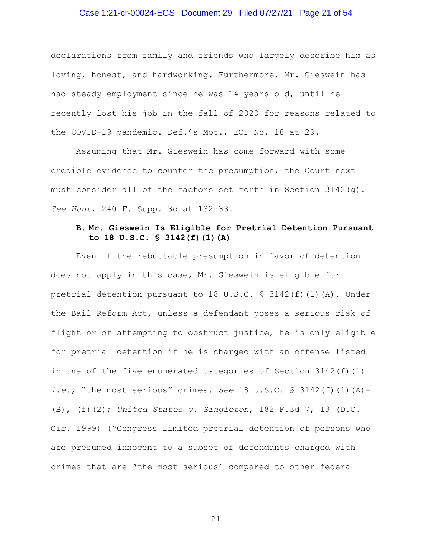## Case 1:21-cr-00024-EGS Document 29 Filed 07/27/21 Page 21 of 54

declarations from family and friends who largely describe him as loving, honest, and hardworking. Furthermore, Mr. Gieswein has had steady employment since he was 14 years old, until he recently lost his job in the fall of 2020 for reasons related to the COVID-19 pandemic. Def.'s Mot., ECF No. 18 at 29.

Assuming that Mr. Gieswein has come forward with some credible evidence to counter the presumption, the Court next must consider all of the factors set forth in Section  $3142(q)$ . *See Hunt*, 240 F. Supp. 3d at 132-33.

# **B. Mr. Gieswein Is Eligible for Pretrial Detention Pursuant to 18 U.S.C. § 3142(f)(1)(A)**

Even if the rebuttable presumption in favor of detention does not apply in this case, Mr. Gieswein is eligible for pretrial detention pursuant to 18 U.S.C.  $\frac{1}{5}$  3142(f)(1)(A). Under the Bail Reform Act, unless a defendant poses a serious risk of flight or of attempting to obstruct justice, he is only eligible for pretrial detention if he is charged with an offense listed in one of the five enumerated categories of Section  $3142(f)(1)$ *i.e.*, "the most serious" crimes. *See* 18 U.S.C. § 3142(f)(1)(A)- (B), (f)(2); *United States v. Singleton*, 182 F.3d 7, 13 (D.C. Cir. 1999) ("Congress limited pretrial detention of persons who are presumed innocent to a subset of defendants charged with crimes that are 'the most serious' compared to other federal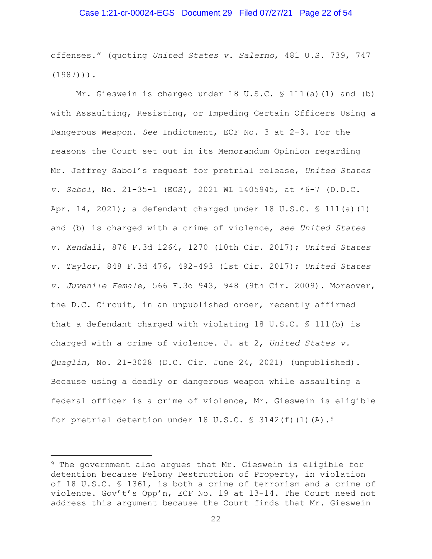## Case 1:21-cr-00024-EGS Document 29 Filed 07/27/21 Page 22 of 54

offenses." (quoting *United States v. Salerno*, 481 U.S. 739, 747  $(1987)$ )).

Mr. Gieswein is charged under 18 U.S.C. § 111(a)(1) and (b) with Assaulting, Resisting, or Impeding Certain Officers Using a Dangerous Weapon. *See* Indictment, ECF No. 3 at 2-3. For the reasons the Court set out in its Memorandum Opinion regarding Mr. Jeffrey Sabol's request for pretrial release, *United States v. Sabol*, No. 21-35-1 (EGS), 2021 WL 1405945, at \*6-7 (D.D.C. Apr. 14, 2021); a defendant charged under 18 U.S.C. § 111(a)(1) and (b) is charged with a crime of violence, *see United States v. Kendall*, 876 F.3d 1264, 1270 (10th Cir. 2017); *United States v. Taylor*, 848 F.3d 476, 492-493 (1st Cir. 2017); *United States v. Juvenile Female*, 566 F.3d 943, 948 (9th Cir. 2009). Moreover, the D.C. Circuit, in an unpublished order, recently affirmed that a defendant charged with violating 18 U.S.C. § 111(b) is charged with a crime of violence. J. at 2, *United States v. Quaglin*, No. 21-3028 (D.C. Cir. June 24, 2021) (unpublished). Because using a deadly or dangerous weapon while assaulting a federal officer is a crime of violence, Mr. Gieswein is eligible for pretrial detention under 18 U.S.C.  $\frac{1}{5}$  3142(f)(1)(A).<sup>9</sup>

<sup>9</sup> The government also argues that Mr. Gieswein is eligible for detention because Felony Destruction of Property, in violation of 18 U.S.C. § 1361, is both a crime of terrorism and a crime of violence. Gov't's Opp'n, ECF No. 19 at 13-14. The Court need not address this argument because the Court finds that Mr. Gieswein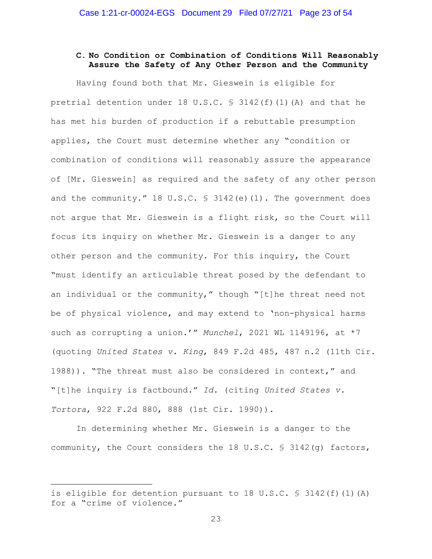# **C. No Condition or Combination of Conditions Will Reasonably Assure the Safety of Any Other Person and the Community**

Having found both that Mr. Gieswein is eligible for pretrial detention under 18 U.S.C.  $\frac{1}{2}$  3142(f)(1)(A) and that he has met his burden of production if a rebuttable presumption applies, the Court must determine whether any "condition or combination of conditions will reasonably assure the appearance of [Mr. Gieswein] as required and the safety of any other person and the community." 18 U.S.C. § 3142(e)(1). The government does not argue that Mr. Gieswein is a flight risk, so the Court will focus its inquiry on whether Mr. Gieswein is a danger to any other person and the community. For this inquiry, the Court "must identify an articulable threat posed by the defendant to an individual or the community," though "[t]he threat need not be of physical violence, and may extend to 'non-physical harms such as corrupting a union.'" *Munchel*, 2021 WL 1149196, at \*7 (quoting *United States v. King*, 849 F.2d 485, 487 n.2 (11th Cir. 1988)). "The threat must also be considered in context," and "[t]he inquiry is factbound." *Id.* (citing *United States v. Tortora*, 922 F.2d 880, 888 (1st Cir. 1990)).

In determining whether Mr. Gieswein is a danger to the community, the Court considers the 18 U.S.C. § 3142(g) factors,

is eligible for detention pursuant to 18 U.S.C. § 3142(f)(1)(A) for a "crime of violence."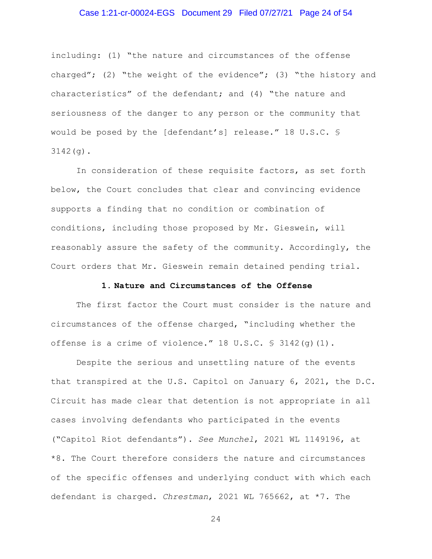#### Case 1:21-cr-00024-EGS Document 29 Filed 07/27/21 Page 24 of 54

including: (1) "the nature and circumstances of the offense charged"; (2) "the weight of the evidence"; (3) "the history and characteristics" of the defendant; and (4) "the nature and seriousness of the danger to any person or the community that would be posed by the [defendant's] release." 18 U.S.C. § 3142(g).

In consideration of these requisite factors, as set forth below, the Court concludes that clear and convincing evidence supports a finding that no condition or combination of conditions, including those proposed by Mr. Gieswein, will reasonably assure the safety of the community. Accordingly, the Court orders that Mr. Gieswein remain detained pending trial.

#### **1. Nature and Circumstances of the Offense**

The first factor the Court must consider is the nature and circumstances of the offense charged, "including whether the offense is a crime of violence."  $18 \text{ U.S.C. }$  \$  $3142(q)(1)$ .

Despite the serious and unsettling nature of the events that transpired at the U.S. Capitol on January 6, 2021, the D.C. Circuit has made clear that detention is not appropriate in all cases involving defendants who participated in the events ("Capitol Riot defendants"). *See Munchel*, 2021 WL 1149196, at \*8. The Court therefore considers the nature and circumstances of the specific offenses and underlying conduct with which each defendant is charged. *Chrestman*, 2021 WL 765662, at \*7*.* The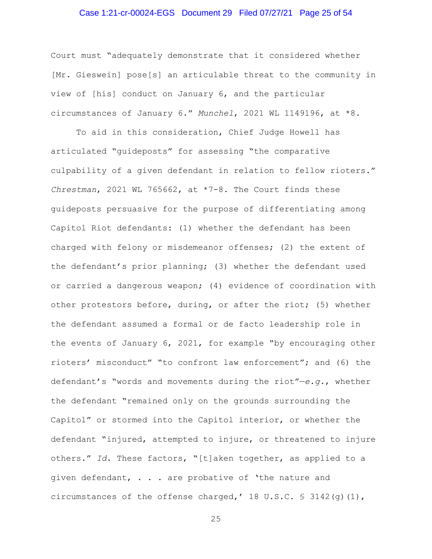#### Case 1:21-cr-00024-EGS Document 29 Filed 07/27/21 Page 25 of 54

Court must "adequately demonstrate that it considered whether [Mr. Gieswein] pose[s] an articulable threat to the community in view of [his] conduct on January 6, and the particular circumstances of January 6." *Munchel*, 2021 WL 1149196, at \*8.

To aid in this consideration, Chief Judge Howell has articulated "guideposts" for assessing "the comparative culpability of a given defendant in relation to fellow rioters." *Chrestman*, 2021 WL 765662, at \*7-8*.* The Court finds these guideposts persuasive for the purpose of differentiating among Capitol Riot defendants: (1) whether the defendant has been charged with felony or misdemeanor offenses; (2) the extent of the defendant's prior planning; (3) whether the defendant used or carried a dangerous weapon; (4) evidence of coordination with other protestors before, during, or after the riot; (5) whether the defendant assumed a formal or de facto leadership role in the events of January 6, 2021, for example "by encouraging other rioters' misconduct" "to confront law enforcement"; and (6) the defendant's "words and movements during the riot"—*e.g.*, whether the defendant "remained only on the grounds surrounding the Capitol" or stormed into the Capitol interior, or whether the defendant "injured, attempted to injure, or threatened to injure others." *Id*. These factors, "[t]aken together, as applied to a given defendant, . . . are probative of 'the nature and circumstances of the offense charged,' 18 U.S.C. § 3142(g)(1),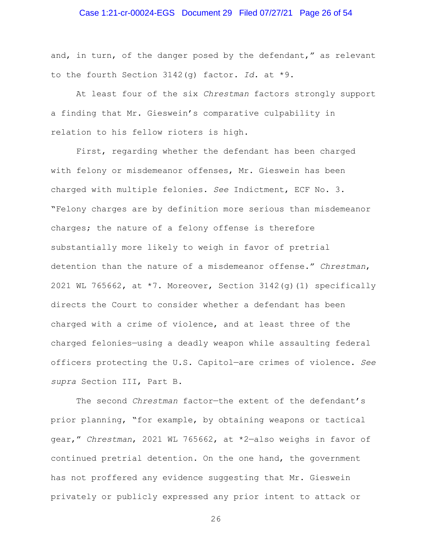#### Case 1:21-cr-00024-EGS Document 29 Filed 07/27/21 Page 26 of 54

and, in turn, of the danger posed by the defendant," as relevant to the fourth Section 3142(g) factor. *Id*. at \*9.

At least four of the six *Chrestman* factors strongly support a finding that Mr. Gieswein's comparative culpability in relation to his fellow rioters is high.

First, regarding whether the defendant has been charged with felony or misdemeanor offenses, Mr. Gieswein has been charged with multiple felonies. *See* Indictment, ECF No. 3. "Felony charges are by definition more serious than misdemeanor charges; the nature of a felony offense is therefore substantially more likely to weigh in favor of pretrial detention than the nature of a misdemeanor offense." *Chrestman*, 2021 WL 765662, at  $*7$ . Moreover, Section 3142(q)(1) specifically directs the Court to consider whether a defendant has been charged with a crime of violence, and at least three of the charged felonies—using a deadly weapon while assaulting federal officers protecting the U.S. Capitol—are crimes of violence. *See supra* Section III, Part B.

The second *Chrestman* factor—the extent of the defendant's prior planning, "for example, by obtaining weapons or tactical gear," *Chrestman*, 2021 WL 765662, at \*2—also weighs in favor of continued pretrial detention. On the one hand, the government has not proffered any evidence suggesting that Mr. Gieswein privately or publicly expressed any prior intent to attack or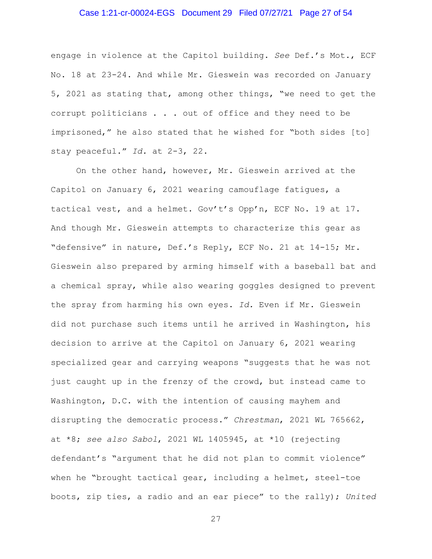## Case 1:21-cr-00024-EGS Document 29 Filed 07/27/21 Page 27 of 54

engage in violence at the Capitol building. *See* Def.'s Mot., ECF No. 18 at 23-24. And while Mr. Gieswein was recorded on January 5, 2021 as stating that, among other things, "we need to get the corrupt politicians . . . out of office and they need to be imprisoned," he also stated that he wished for "both sides [to] stay peaceful." *Id.* at 2-3, 22.

On the other hand, however, Mr. Gieswein arrived at the Capitol on January 6, 2021 wearing camouflage fatigues, a tactical vest, and a helmet. Gov't's Opp'n, ECF No. 19 at 17. And though Mr. Gieswein attempts to characterize this gear as "defensive" in nature, Def.'s Reply, ECF No. 21 at 14-15; Mr. Gieswein also prepared by arming himself with a baseball bat and a chemical spray, while also wearing goggles designed to prevent the spray from harming his own eyes. *Id.* Even if Mr. Gieswein did not purchase such items until he arrived in Washington, his decision to arrive at the Capitol on January 6, 2021 wearing specialized gear and carrying weapons "suggests that he was not just caught up in the frenzy of the crowd, but instead came to Washington, D.C. with the intention of causing mayhem and disrupting the democratic process." *Chrestman*, 2021 WL 765662, at \*8; *see also Sabol*, 2021 WL 1405945, at \*10 (rejecting defendant's "argument that he did not plan to commit violence" when he "brought tactical gear, including a helmet, steel-toe boots, zip ties, a radio and an ear piece" to the rally); *United*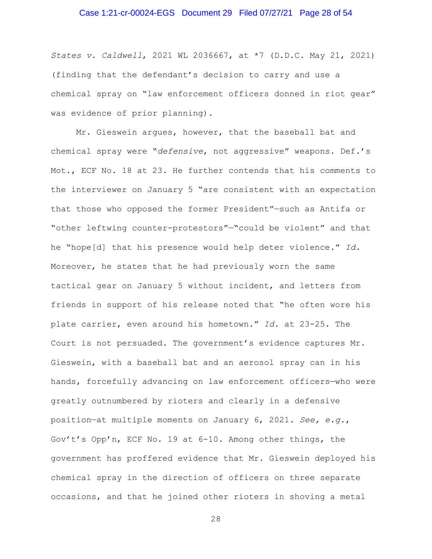#### Case 1:21-cr-00024-EGS Document 29 Filed 07/27/21 Page 28 of 54

*States v. Caldwell*, 2021 WL 2036667, at \*7 (D.D.C. May 21, 2021) (finding that the defendant's decision to carry and use a chemical spray on "law enforcement officers donned in riot gear" was evidence of prior planning).

Mr. Gieswein argues, however, that the baseball bat and chemical spray were "*defensive*, not aggressive" weapons. Def.'s Mot., ECF No. 18 at 23. He further contends that his comments to the interviewer on January 5 "are consistent with an expectation that those who opposed the former President"—such as Antifa or "other leftwing counter-protestors"—"could be violent" and that he "hope[d] that his presence would help deter violence." *Id.*  Moreover, he states that he had previously worn the same tactical gear on January 5 without incident, and letters from friends in support of his release noted that "he often wore his plate carrier, even around his hometown." *Id.* at 23-25. The Court is not persuaded. The government's evidence captures Mr. Gieswein, with a baseball bat and an aerosol spray can in his hands, forcefully advancing on law enforcement officers—who were greatly outnumbered by rioters and clearly in a defensive position—at multiple moments on January 6, 2021. *See, e.g.*, Gov't's Opp'n, ECF No. 19 at 6-10. Among other things, the government has proffered evidence that Mr. Gieswein deployed his chemical spray in the direction of officers on three separate occasions, and that he joined other rioters in shoving a metal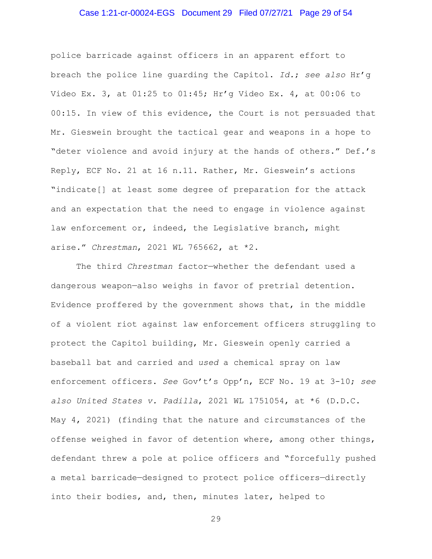## Case 1:21-cr-00024-EGS Document 29 Filed 07/27/21 Page 29 of 54

police barricade against officers in an apparent effort to breach the police line guarding the Capitol. *Id.*; *see also* Hr'g Video Ex. 3, at 01:25 to 01:45; Hr'g Video Ex. 4, at 00:06 to 00:15. In view of this evidence, the Court is not persuaded that Mr. Gieswein brought the tactical gear and weapons in a hope to "deter violence and avoid injury at the hands of others." Def.'s Reply, ECF No. 21 at 16 n.11. Rather, Mr. Gieswein's actions "indicate[] at least some degree of preparation for the attack and an expectation that the need to engage in violence against law enforcement or, indeed, the Legislative branch, might arise." *Chrestman*, 2021 WL 765662, at \*2.

The third *Chrestman* factor—whether the defendant used a dangerous weapon—also weighs in favor of pretrial detention. Evidence proffered by the government shows that, in the middle of a violent riot against law enforcement officers struggling to protect the Capitol building, Mr. Gieswein openly carried a baseball bat and carried and *used* a chemical spray on law enforcement officers. *See* Gov't's Opp'n, ECF No. 19 at 3-10; *see also United States v. Padilla*, 2021 WL 1751054, at \*6 (D.D.C. May 4, 2021) (finding that the nature and circumstances of the offense weighed in favor of detention where, among other things, defendant threw a pole at police officers and "forcefully pushed a metal barricade—designed to protect police officers—directly into their bodies, and, then, minutes later, helped to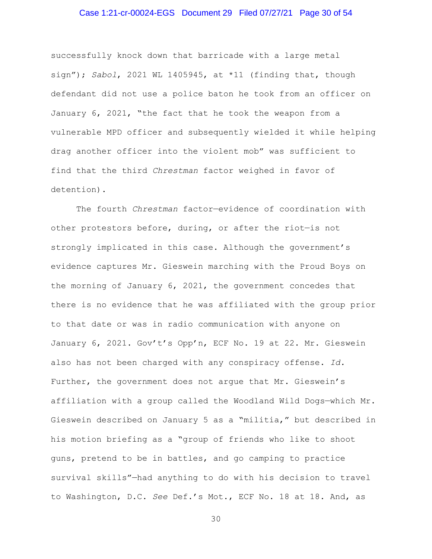## Case 1:21-cr-00024-EGS Document 29 Filed 07/27/21 Page 30 of 54

successfully knock down that barricade with a large metal sign"); *Sabol*, 2021 WL 1405945, at \*11 (finding that, though defendant did not use a police baton he took from an officer on January 6, 2021, "the fact that he took the weapon from a vulnerable MPD officer and subsequently wielded it while helping drag another officer into the violent mob" was sufficient to find that the third *Chrestman* factor weighed in favor of detention).

The fourth *Chrestman* factor—evidence of coordination with other protestors before, during, or after the riot—is not strongly implicated in this case. Although the government's evidence captures Mr. Gieswein marching with the Proud Boys on the morning of January 6, 2021, the government concedes that there is no evidence that he was affiliated with the group prior to that date or was in radio communication with anyone on January 6, 2021. Gov't's Opp'n, ECF No. 19 at 22. Mr. Gieswein also has not been charged with any conspiracy offense. *Id.* Further, the government does not argue that Mr. Gieswein's affiliation with a group called the Woodland Wild Dogs—which Mr. Gieswein described on January 5 as a "militia," but described in his motion briefing as a "group of friends who like to shoot guns, pretend to be in battles, and go camping to practice survival skills"—had anything to do with his decision to travel to Washington, D.C. *See* Def.'s Mot., ECF No. 18 at 18. And, as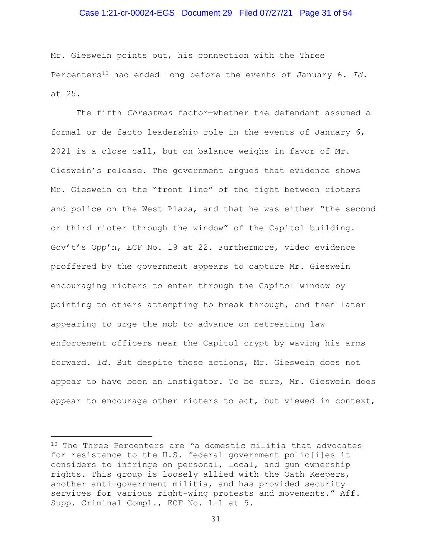#### Case 1:21-cr-00024-EGS Document 29 Filed 07/27/21 Page 31 of 54

Mr. Gieswein points out, his connection with the Three Percenters10 had ended long before the events of January 6. *Id.* at 25.

The fifth *Chrestman* factor—whether the defendant assumed a formal or de facto leadership role in the events of January 6, 2021—is a close call, but on balance weighs in favor of Mr. Gieswein's release. The government argues that evidence shows Mr. Gieswein on the "front line" of the fight between rioters and police on the West Plaza, and that he was either "the second or third rioter through the window" of the Capitol building. Gov't's Opp'n, ECF No. 19 at 22. Furthermore, video evidence proffered by the government appears to capture Mr. Gieswein encouraging rioters to enter through the Capitol window by pointing to others attempting to break through, and then later appearing to urge the mob to advance on retreating law enforcement officers near the Capitol crypt by waving his arms forward. *Id.* But despite these actions, Mr. Gieswein does not appear to have been an instigator. To be sure, Mr. Gieswein does appear to encourage other rioters to act, but viewed in context,

<sup>10</sup> The Three Percenters are "a domestic militia that advocates for resistance to the U.S. federal government polic[i]es it considers to infringe on personal, local, and gun ownership rights. This group is loosely allied with the Oath Keepers, another anti-government militia, and has provided security services for various right-wing protests and movements." Aff. Supp. Criminal Compl., ECF No. 1-1 at 5.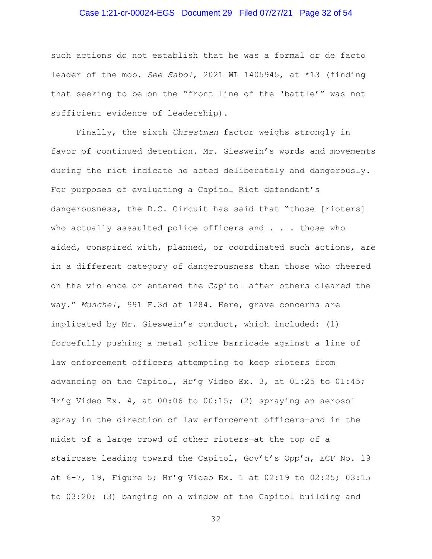## Case 1:21-cr-00024-EGS Document 29 Filed 07/27/21 Page 32 of 54

such actions do not establish that he was a formal or de facto leader of the mob. *See Sabol*, 2021 WL 1405945, at \*13 (finding that seeking to be on the "front line of the 'battle'" was not sufficient evidence of leadership).

Finally, the sixth *Chrestman* factor weighs strongly in favor of continued detention. Mr. Gieswein's words and movements during the riot indicate he acted deliberately and dangerously. For purposes of evaluating a Capitol Riot defendant's dangerousness, the D.C. Circuit has said that "those [rioters] who actually assaulted police officers and . . . those who aided, conspired with, planned, or coordinated such actions, are in a different category of dangerousness than those who cheered on the violence or entered the Capitol after others cleared the way." *Munchel*, 991 F.3d at 1284. Here, grave concerns are implicated by Mr. Gieswein's conduct, which included: (1) forcefully pushing a metal police barricade against a line of law enforcement officers attempting to keep rioters from advancing on the Capitol, Hr'g Video Ex. 3, at 01:25 to 01:45; Hr'g Video Ex. 4, at 00:06 to 00:15; (2) spraying an aerosol spray in the direction of law enforcement officers—and in the midst of a large crowd of other rioters—at the top of a staircase leading toward the Capitol, Gov't's Opp'n, ECF No. 19 at 6-7, 19, Figure 5; Hr'g Video Ex. 1 at 02:19 to 02:25; 03:15 to 03:20; (3) banging on a window of the Capitol building and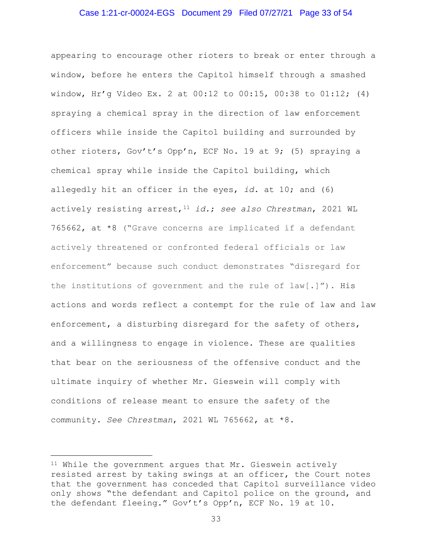#### Case 1:21-cr-00024-EGS Document 29 Filed 07/27/21 Page 33 of 54

appearing to encourage other rioters to break or enter through a window, before he enters the Capitol himself through a smashed window, Hr'g Video Ex. 2 at 00:12 to 00:15, 00:38 to 01:12; (4) spraying a chemical spray in the direction of law enforcement officers while inside the Capitol building and surrounded by other rioters, Gov't's Opp'n, ECF No. 19 at 9; (5) spraying a chemical spray while inside the Capitol building, which allegedly hit an officer in the eyes, *id.* at 10; and (6) actively resisting arrest,11 *id.*; *see also Chrestman*, 2021 WL 765662, at \*8 ("Grave concerns are implicated if a defendant actively threatened or confronted federal officials or law enforcement" because such conduct demonstrates "disregard for the institutions of government and the rule of law[.]"). His actions and words reflect a contempt for the rule of law and law enforcement, a disturbing disregard for the safety of others, and a willingness to engage in violence. These are qualities that bear on the seriousness of the offensive conduct and the ultimate inquiry of whether Mr. Gieswein will comply with conditions of release meant to ensure the safety of the community. *See Chrestman*, 2021 WL 765662, at \*8.

<sup>11</sup> While the government argues that Mr. Gieswein actively resisted arrest by taking swings at an officer, the Court notes that the government has conceded that Capitol surveillance video only shows "the defendant and Capitol police on the ground, and the defendant fleeing." Gov't's Opp'n, ECF No. 19 at 10.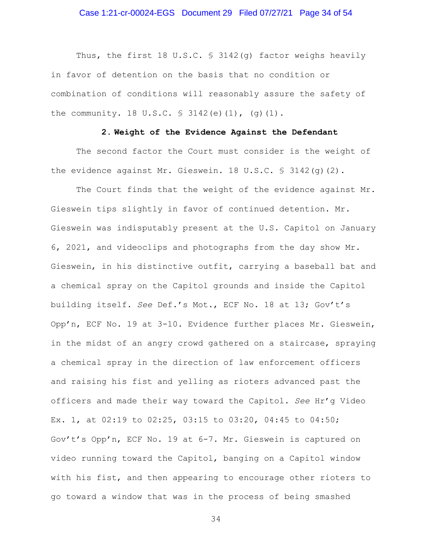#### Case 1:21-cr-00024-EGS Document 29 Filed 07/27/21 Page 34 of 54

Thus, the first 18 U.S.C. § 3142(q) factor weighs heavily in favor of detention on the basis that no condition or combination of conditions will reasonably assure the safety of the community. 18 U.S.C. § 3142(e)(1), (g)(1).

#### **2. Weight of the Evidence Against the Defendant**

The second factor the Court must consider is the weight of the evidence against Mr. Gieswein. 18 U.S.C. § 3142(g)(2).

The Court finds that the weight of the evidence against Mr. Gieswein tips slightly in favor of continued detention. Mr. Gieswein was indisputably present at the U.S. Capitol on January 6, 2021, and videoclips and photographs from the day show Mr. Gieswein, in his distinctive outfit, carrying a baseball bat and a chemical spray on the Capitol grounds and inside the Capitol building itself. *See* Def.'s Mot., ECF No. 18 at 13; Gov't's Opp'n, ECF No. 19 at 3-10. Evidence further places Mr. Gieswein, in the midst of an angry crowd gathered on a staircase, spraying a chemical spray in the direction of law enforcement officers and raising his fist and yelling as rioters advanced past the officers and made their way toward the Capitol. *See* Hr'g Video Ex. 1, at 02:19 to 02:25, 03:15 to 03:20, 04:45 to 04:50; Gov't's Opp'n, ECF No. 19 at 6-7. Mr. Gieswein is captured on video running toward the Capitol, banging on a Capitol window with his fist, and then appearing to encourage other rioters to go toward a window that was in the process of being smashed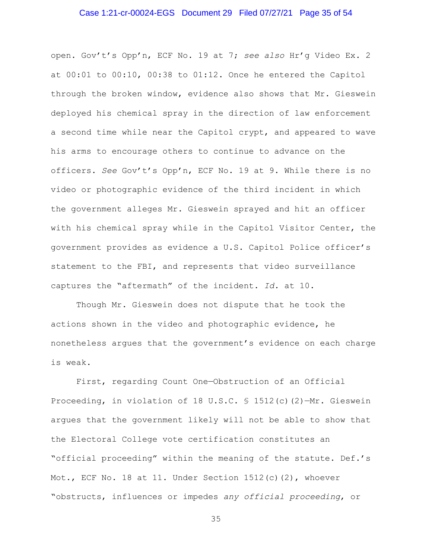#### Case 1:21-cr-00024-EGS Document 29 Filed 07/27/21 Page 35 of 54

open. Gov't's Opp'n, ECF No. 19 at 7; *see also* Hr'g Video Ex. 2 at 00:01 to 00:10, 00:38 to 01:12. Once he entered the Capitol through the broken window, evidence also shows that Mr. Gieswein deployed his chemical spray in the direction of law enforcement a second time while near the Capitol crypt, and appeared to wave his arms to encourage others to continue to advance on the officers. *See* Gov't's Opp'n, ECF No. 19 at 9. While there is no video or photographic evidence of the third incident in which the government alleges Mr. Gieswein sprayed and hit an officer with his chemical spray while in the Capitol Visitor Center, the government provides as evidence a U.S. Capitol Police officer's statement to the FBI, and represents that video surveillance captures the "aftermath" of the incident. *Id.* at 10.

Though Mr. Gieswein does not dispute that he took the actions shown in the video and photographic evidence, he nonetheless argues that the government's evidence on each charge is weak.

First, regarding Count One—Obstruction of an Official Proceeding, in violation of 18 U.S.C. § 1512(c)(2)—Mr. Gieswein argues that the government likely will not be able to show that the Electoral College vote certification constitutes an "official proceeding" within the meaning of the statute. Def.'s Mot., ECF No. 18 at 11. Under Section 1512(c)(2), whoever "obstructs, influences or impedes *any official proceeding*, or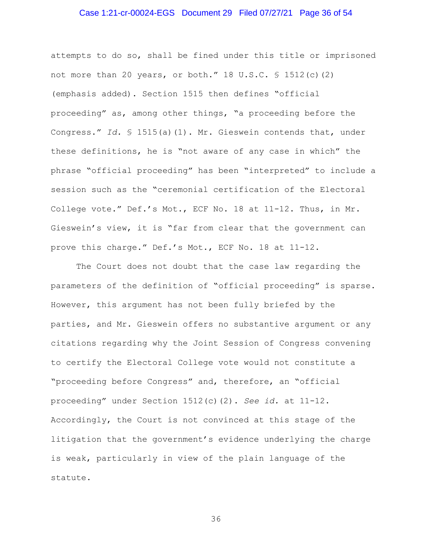#### Case 1:21-cr-00024-EGS Document 29 Filed 07/27/21 Page 36 of 54

attempts to do so, shall be fined under this title or imprisoned not more than 20 years, or both." 18 U.S.C. § 1512(c)(2) (emphasis added). Section 1515 then defines "official proceeding" as, among other things, "a proceeding before the Congress." *Id.* § 1515(a)(1). Mr. Gieswein contends that, under these definitions, he is "not aware of any case in which" the phrase "official proceeding" has been "interpreted" to include a session such as the "ceremonial certification of the Electoral College vote." Def.'s Mot., ECF No. 18 at 11-12. Thus, in Mr. Gieswein's view, it is "far from clear that the government can prove this charge." Def.'s Mot., ECF No. 18 at 11-12.

The Court does not doubt that the case law regarding the parameters of the definition of "official proceeding" is sparse. However, this argument has not been fully briefed by the parties, and Mr. Gieswein offers no substantive argument or any citations regarding why the Joint Session of Congress convening to certify the Electoral College vote would not constitute a "proceeding before Congress" and, therefore, an "official proceeding" under Section 1512(c)(2). *See id.* at 11-12. Accordingly, the Court is not convinced at this stage of the litigation that the government's evidence underlying the charge is weak, particularly in view of the plain language of the statute.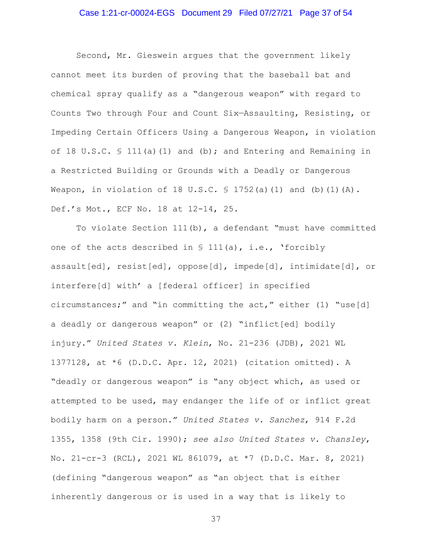## Case 1:21-cr-00024-EGS Document 29 Filed 07/27/21 Page 37 of 54

Second, Mr. Gieswein argues that the government likely cannot meet its burden of proving that the baseball bat and chemical spray qualify as a "dangerous weapon" with regard to Counts Two through Four and Count Six—Assaulting, Resisting, or Impeding Certain Officers Using a Dangerous Weapon, in violation of 18 U.S.C. § 111(a)(1) and (b); and Entering and Remaining in a Restricted Building or Grounds with a Deadly or Dangerous Weapon, in violation of 18 U.S.C.  $\frac{1}{5}$  1752(a)(1) and (b)(1)(A). Def.'s Mot., ECF No. 18 at 12-14, 25.

To violate Section 111(b), a defendant "must have committed one of the acts described in  $\S$  111(a), i.e., 'forcibly assault[ed], resist[ed], oppose[d], impede[d], intimidate[d], or interfere[d] with' a [federal officer] in specified circumstances;" and "in committing the act," either (1) "use[d] a deadly or dangerous weapon" or (2) "inflict[ed] bodily injury." *United States v. Klein*, No. 21-236 (JDB), 2021 WL 1377128, at \*6 (D.D.C. Apr. 12, 2021) (citation omitted). A "deadly or dangerous weapon" is "any object which, as used or attempted to be used, may endanger the life of or inflict great bodily harm on a person." *United States v. Sanchez*, 914 F.2d 1355, 1358 (9th Cir. 1990); *see also United States v. Chansley*, No. 21-cr-3 (RCL), 2021 WL 861079, at \*7 (D.D.C. Mar. 8, 2021) (defining "dangerous weapon" as "an object that is either inherently dangerous or is used in a way that is likely to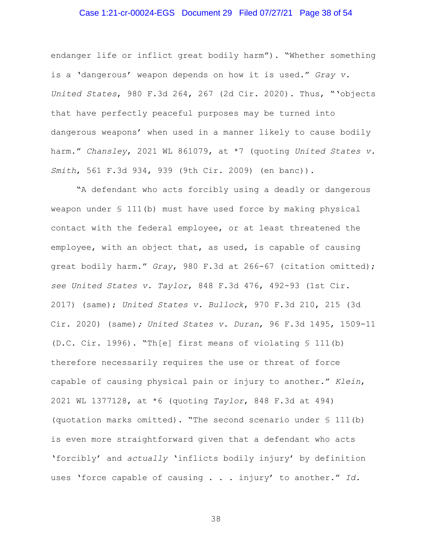#### Case 1:21-cr-00024-EGS Document 29 Filed 07/27/21 Page 38 of 54

endanger life or inflict great bodily harm"). "Whether something is a 'dangerous' weapon depends on how it is used." *Gray v. United States*, 980 F.3d 264, 267 (2d Cir. 2020). Thus, "'objects that have perfectly peaceful purposes may be turned into dangerous weapons' when used in a manner likely to cause bodily harm." *Chansley*, 2021 WL 861079, at \*7 (quoting *United States v. Smith*, 561 F.3d 934, 939 (9th Cir. 2009) (en banc)).

"A defendant who acts forcibly using a deadly or dangerous weapon under § 111(b) must have used force by making physical contact with the federal employee, or at least threatened the employee, with an object that, as used, is capable of causing great bodily harm." *Gray*, 980 F.3d at 266-67 (citation omitted); *see United States v. Taylor*, 848 F.3d 476, 492-93 (1st Cir. 2017) (same); *United States v. Bullock*, 970 F.3d 210, 215 (3d Cir. 2020) (same)*; United States v. Duran*, 96 F.3d 1495, 1509-11 (D.C. Cir. 1996). "Th[e] first means of violating § 111(b) therefore necessarily requires the use or threat of force capable of causing physical pain or injury to another." *Klein*, 2021 WL 1377128, at \*6 (quoting *Taylor*, 848 F.3d at 494) (quotation marks omitted). "The second scenario under § 111(b) is even more straightforward given that a defendant who acts 'forcibly' and *actually* 'inflicts bodily injury' by definition uses 'force capable of causing . . . injury' to another." *Id.*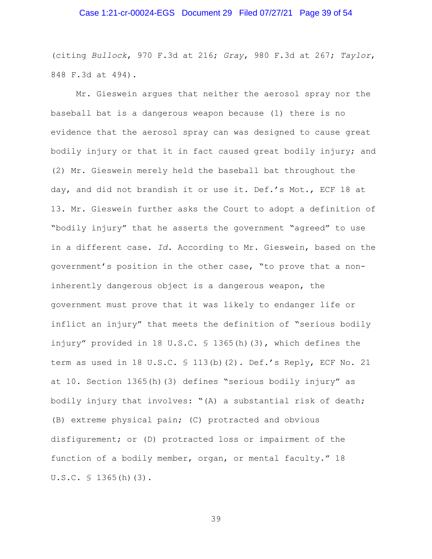#### Case 1:21-cr-00024-EGS Document 29 Filed 07/27/21 Page 39 of 54

(citing *Bullock*, 970 F.3d at 216; *Gray*, 980 F.3d at 267; *Taylor*, 848 F.3d at 494).

Mr. Gieswein argues that neither the aerosol spray nor the baseball bat is a dangerous weapon because (1) there is no evidence that the aerosol spray can was designed to cause great bodily injury or that it in fact caused great bodily injury; and (2) Mr. Gieswein merely held the baseball bat throughout the day, and did not brandish it or use it. Def.'s Mot., ECF 18 at 13. Mr. Gieswein further asks the Court to adopt a definition of "bodily injury" that he asserts the government "agreed" to use in a different case. *Id.* According to Mr. Gieswein, based on the government's position in the other case, "to prove that a noninherently dangerous object is a dangerous weapon, the government must prove that it was likely to endanger life or inflict an injury" that meets the definition of "serious bodily injury" provided in 18 U.S.C. § 1365(h)(3), which defines the term as used in 18 U.S.C. § 113(b)(2). Def.'s Reply, ECF No. 21 at 10. Section 1365(h)(3) defines "serious bodily injury" as bodily injury that involves: "(A) a substantial risk of death; (B) extreme physical pain; (C) protracted and obvious disfigurement; or (D) protracted loss or impairment of the function of a bodily member, organ, or mental faculty." 18 U.S.C. § 1365(h)(3).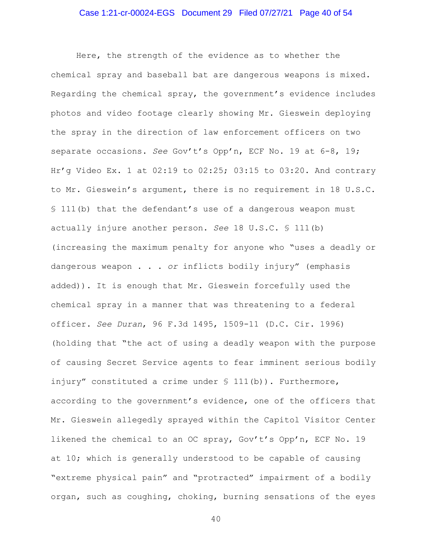## Case 1:21-cr-00024-EGS Document 29 Filed 07/27/21 Page 40 of 54

Here, the strength of the evidence as to whether the chemical spray and baseball bat are dangerous weapons is mixed. Regarding the chemical spray, the government's evidence includes photos and video footage clearly showing Mr. Gieswein deploying the spray in the direction of law enforcement officers on two separate occasions. *See* Gov't's Opp'n, ECF No. 19 at 6-8, 19; Hr'g Video Ex. 1 at 02:19 to 02:25; 03:15 to 03:20. And contrary to Mr. Gieswein's argument, there is no requirement in 18 U.S.C. § 111(b) that the defendant's use of a dangerous weapon must actually injure another person. *See* 18 U.S.C. § 111(b) (increasing the maximum penalty for anyone who "uses a deadly or dangerous weapon . . . *or* inflicts bodily injury" (emphasis added)). It is enough that Mr. Gieswein forcefully used the chemical spray in a manner that was threatening to a federal officer. *See Duran*, 96 F.3d 1495, 1509-11 (D.C. Cir. 1996) (holding that "the act of using a deadly weapon with the purpose of causing Secret Service agents to fear imminent serious bodily injury" constituted a crime under § 111(b)). Furthermore, according to the government's evidence, one of the officers that Mr. Gieswein allegedly sprayed within the Capitol Visitor Center likened the chemical to an OC spray, Gov't's Opp'n, ECF No. 19 at 10; which is generally understood to be capable of causing "extreme physical pain" and "protracted" impairment of a bodily organ, such as coughing, choking, burning sensations of the eyes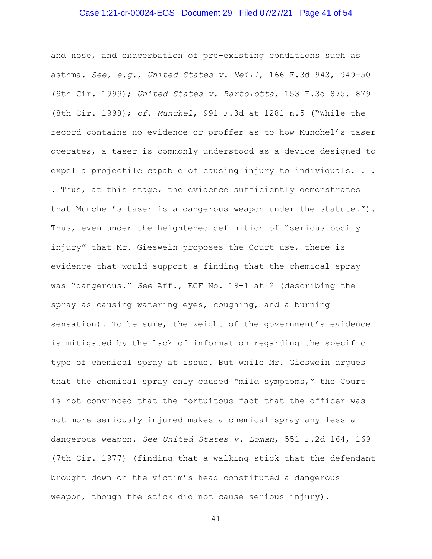## Case 1:21-cr-00024-EGS Document 29 Filed 07/27/21 Page 41 of 54

and nose, and exacerbation of pre-existing conditions such as asthma. *See, e.g.*, *United States v. Neill*, 166 F.3d 943, 949-50 (9th Cir. 1999); *United States v. Bartolotta*, 153 F.3d 875, 879 (8th Cir. 1998); *cf. Munchel*, 991 F.3d at 1281 n.5 ("While the record contains no evidence or proffer as to how Munchel's taser operates, a taser is commonly understood as a device designed to expel a projectile capable of causing injury to individuals. . . . Thus, at this stage, the evidence sufficiently demonstrates that Munchel's taser is a dangerous weapon under the statute."). Thus, even under the heightened definition of "serious bodily injury" that Mr. Gieswein proposes the Court use, there is evidence that would support a finding that the chemical spray was "dangerous." *See* Aff., ECF No. 19-1 at 2 (describing the spray as causing watering eyes, coughing, and a burning sensation). To be sure, the weight of the government's evidence is mitigated by the lack of information regarding the specific type of chemical spray at issue. But while Mr. Gieswein argues that the chemical spray only caused "mild symptoms," the Court is not convinced that the fortuitous fact that the officer was not more seriously injured makes a chemical spray any less a dangerous weapon. *See United States v. Loman*, 551 F.2d 164, 169 (7th Cir. 1977) (finding that a walking stick that the defendant brought down on the victim's head constituted a dangerous weapon, though the stick did not cause serious injury).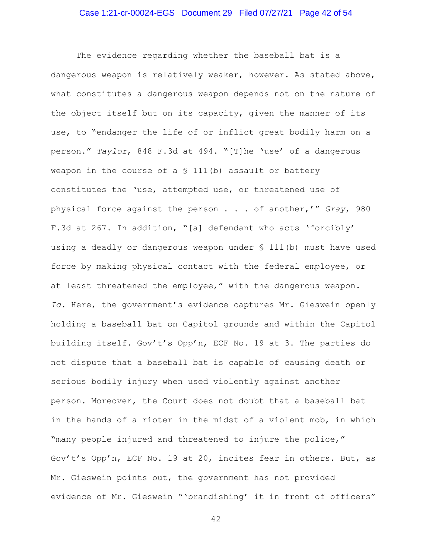## Case 1:21-cr-00024-EGS Document 29 Filed 07/27/21 Page 42 of 54

The evidence regarding whether the baseball bat is a dangerous weapon is relatively weaker, however. As stated above, what constitutes a dangerous weapon depends not on the nature of the object itself but on its capacity, given the manner of its use, to "endanger the life of or inflict great bodily harm on a person." *Taylor*, 848 F.3d at 494. "[T]he 'use' of a dangerous weapon in the course of a  $\S$  111(b) assault or battery constitutes the 'use, attempted use, or threatened use of physical force against the person . . . of another,'" *Gray*, 980 F.3d at 267. In addition, "[a] defendant who acts 'forcibly' using a deadly or dangerous weapon under § 111(b) must have used force by making physical contact with the federal employee, or at least threatened the employee," with the dangerous weapon. *Id.* Here, the government's evidence captures Mr. Gieswein openly holding a baseball bat on Capitol grounds and within the Capitol building itself. Gov't's Opp'n, ECF No. 19 at 3. The parties do not dispute that a baseball bat is capable of causing death or serious bodily injury when used violently against another person. Moreover, the Court does not doubt that a baseball bat in the hands of a rioter in the midst of a violent mob, in which "many people injured and threatened to injure the police," Gov't's Opp'n, ECF No. 19 at 20, incites fear in others. But, as Mr. Gieswein points out, the government has not provided evidence of Mr. Gieswein "'brandishing' it in front of officers"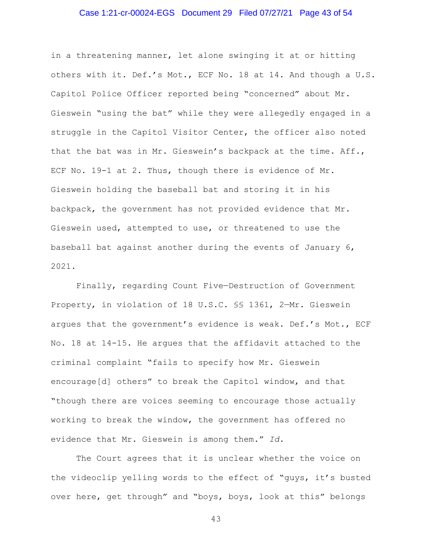#### Case 1:21-cr-00024-EGS Document 29 Filed 07/27/21 Page 43 of 54

in a threatening manner, let alone swinging it at or hitting others with it. Def.'s Mot., ECF No. 18 at 14. And though a U.S. Capitol Police Officer reported being "concerned" about Mr. Gieswein "using the bat" while they were allegedly engaged in a struggle in the Capitol Visitor Center, the officer also noted that the bat was in Mr. Gieswein's backpack at the time. Aff., ECF No. 19-1 at 2. Thus, though there is evidence of Mr. Gieswein holding the baseball bat and storing it in his backpack, the government has not provided evidence that Mr. Gieswein used, attempted to use, or threatened to use the baseball bat against another during the events of January 6, 2021.

Finally, regarding Count Five—Destruction of Government Property, in violation of 18 U.S.C. §§ 1361, 2—Mr. Gieswein argues that the government's evidence is weak. Def.'s Mot., ECF No. 18 at 14-15. He argues that the affidavit attached to the criminal complaint "fails to specify how Mr. Gieswein encourage[d] others" to break the Capitol window, and that "though there are voices seeming to encourage those actually working to break the window, the government has offered no evidence that Mr. Gieswein is among them." *Id.*

The Court agrees that it is unclear whether the voice on the videoclip yelling words to the effect of "guys, it's busted over here, get through" and "boys, boys, look at this" belongs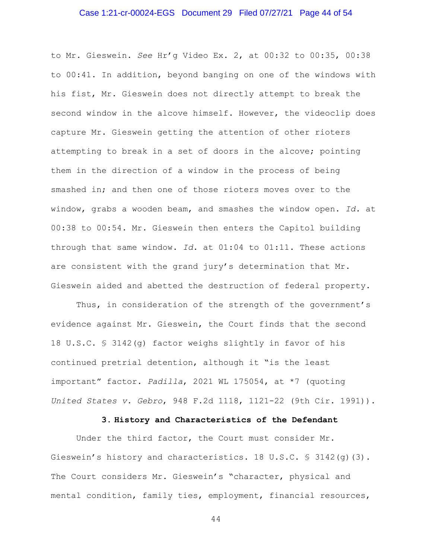#### Case 1:21-cr-00024-EGS Document 29 Filed 07/27/21 Page 44 of 54

to Mr. Gieswein. *See* Hr'g Video Ex. 2, at 00:32 to 00:35, 00:38 to 00:41. In addition, beyond banging on one of the windows with his fist, Mr. Gieswein does not directly attempt to break the second window in the alcove himself. However, the videoclip does capture Mr. Gieswein getting the attention of other rioters attempting to break in a set of doors in the alcove; pointing them in the direction of a window in the process of being smashed in; and then one of those rioters moves over to the window, grabs a wooden beam, and smashes the window open. *Id.* at 00:38 to 00:54. Mr. Gieswein then enters the Capitol building through that same window. *Id.* at 01:04 to 01:11. These actions are consistent with the grand jury's determination that Mr. Gieswein aided and abetted the destruction of federal property.

Thus, in consideration of the strength of the government's evidence against Mr. Gieswein, the Court finds that the second 18 U.S.C. § 3142(g) factor weighs slightly in favor of his continued pretrial detention, although it "is the least important" factor. *Padilla*, 2021 WL 175054, at \*7 (quoting *United States v. Gebro*, 948 F.2d 1118, 1121-22 (9th Cir. 1991)).

## **3. History and Characteristics of the Defendant**

Under the third factor, the Court must consider Mr. Gieswein's history and characteristics. 18 U.S.C. § 3142(g)(3). The Court considers Mr. Gieswein's "character, physical and mental condition, family ties, employment, financial resources,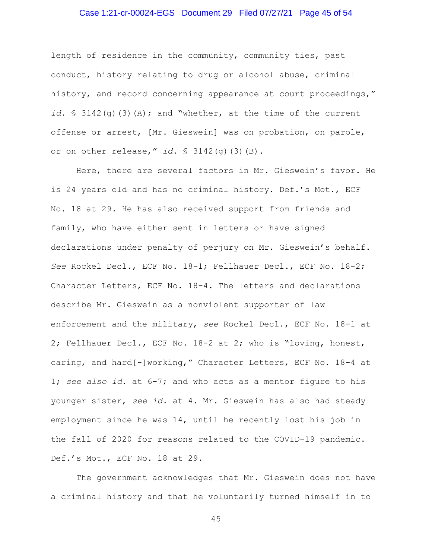## Case 1:21-cr-00024-EGS Document 29 Filed 07/27/21 Page 45 of 54

length of residence in the community, community ties, past conduct, history relating to drug or alcohol abuse, criminal history, and record concerning appearance at court proceedings," *id.* § 3142(g)(3)(A); and "whether, at the time of the current offense or arrest, [Mr. Gieswein] was on probation, on parole, or on other release," *id.* § 3142(g)(3)(B).

Here, there are several factors in Mr. Gieswein's favor. He is 24 years old and has no criminal history. Def.'s Mot., ECF No. 18 at 29. He has also received support from friends and family, who have either sent in letters or have signed declarations under penalty of perjury on Mr. Gieswein's behalf. *See* Rockel Decl., ECF No. 18-1; Fellhauer Decl., ECF No. 18-2; Character Letters, ECF No. 18-4. The letters and declarations describe Mr. Gieswein as a nonviolent supporter of law enforcement and the military, *see* Rockel Decl., ECF No. 18-1 at 2; Fellhauer Decl., ECF No. 18-2 at 2; who is "loving, honest, caring, and hard[-]working," Character Letters, ECF No. 18-4 at 1; *see also id.* at 6-7; and who acts as a mentor figure to his younger sister, *see id.* at 4. Mr. Gieswein has also had steady employment since he was 14, until he recently lost his job in the fall of 2020 for reasons related to the COVID-19 pandemic. Def.'s Mot., ECF No. 18 at 29.

The government acknowledges that Mr. Gieswein does not have a criminal history and that he voluntarily turned himself in to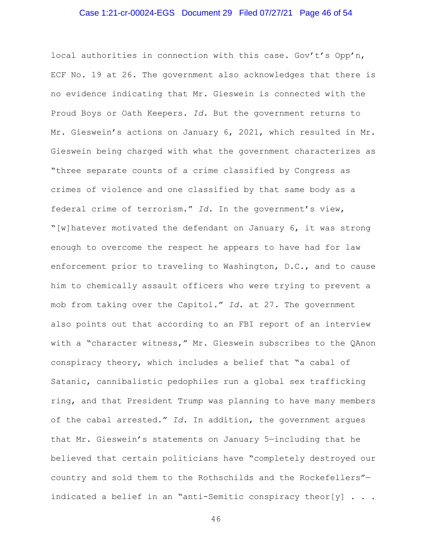## Case 1:21-cr-00024-EGS Document 29 Filed 07/27/21 Page 46 of 54

local authorities in connection with this case. Gov't's Opp'n, ECF No. 19 at 26. The government also acknowledges that there is no evidence indicating that Mr. Gieswein is connected with the Proud Boys or Oath Keepers. *Id.* But the government returns to Mr. Gieswein's actions on January 6, 2021, which resulted in Mr. Gieswein being charged with what the government characterizes as "three separate counts of a crime classified by Congress as crimes of violence and one classified by that same body as a federal crime of terrorism." *Id.* In the government's view, "[w]hatever motivated the defendant on January 6, it was strong enough to overcome the respect he appears to have had for law enforcement prior to traveling to Washington, D.C., and to cause him to chemically assault officers who were trying to prevent a mob from taking over the Capitol." *Id.* at 27. The government also points out that according to an FBI report of an interview with a "character witness," Mr. Gieswein subscribes to the QAnon conspiracy theory, which includes a belief that "a cabal of Satanic, cannibalistic pedophiles run a global sex trafficking ring, and that President Trump was planning to have many members of the cabal arrested." *Id.* In addition, the government argues that Mr. Gieswein's statements on January 5—including that he believed that certain politicians have "completely destroyed our country and sold them to the Rothschilds and the Rockefellers" indicated a belief in an "anti-Semitic conspiracy theor[y]  $\ldots$ .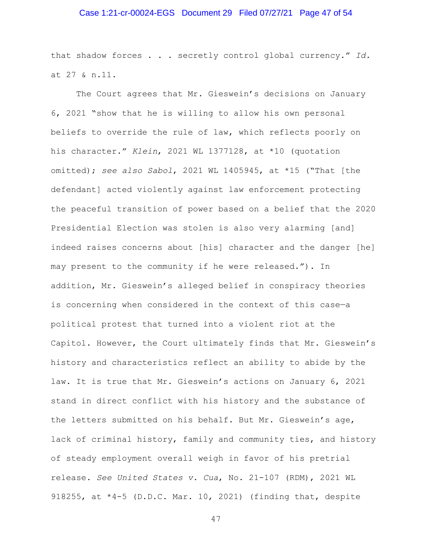## Case 1:21-cr-00024-EGS Document 29 Filed 07/27/21 Page 47 of 54

that shadow forces . . . secretly control global currency." *Id.* at 27 & n.11.

The Court agrees that Mr. Gieswein's decisions on January 6, 2021 "show that he is willing to allow his own personal beliefs to override the rule of law, which reflects poorly on his character." *Klein*, 2021 WL 1377128, at \*10 (quotation omitted); *see also Sabol*, 2021 WL 1405945, at \*15 ("That [the defendant] acted violently against law enforcement protecting the peaceful transition of power based on a belief that the 2020 Presidential Election was stolen is also very alarming [and] indeed raises concerns about [his] character and the danger [he] may present to the community if he were released."). In addition, Mr. Gieswein's alleged belief in conspiracy theories is concerning when considered in the context of this case—a political protest that turned into a violent riot at the Capitol. However, the Court ultimately finds that Mr. Gieswein's history and characteristics reflect an ability to abide by the law. It is true that Mr. Gieswein's actions on January 6, 2021 stand in direct conflict with his history and the substance of the letters submitted on his behalf. But Mr. Gieswein's age, lack of criminal history, family and community ties, and history of steady employment overall weigh in favor of his pretrial release. *See United States v. Cua*, No. 21-107 (RDM), 2021 WL 918255, at \*4-5 (D.D.C. Mar. 10, 2021) (finding that, despite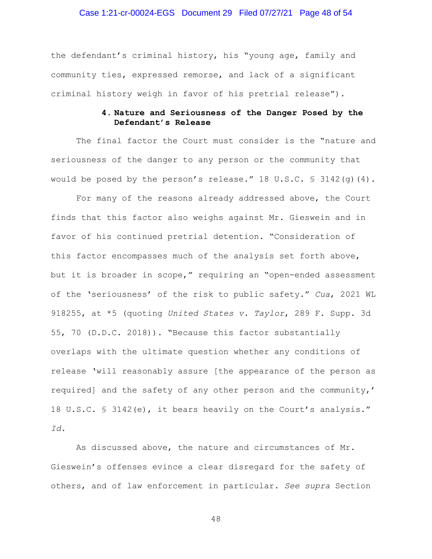#### Case 1:21-cr-00024-EGS Document 29 Filed 07/27/21 Page 48 of 54

the defendant's criminal history, his "young age, family and community ties, expressed remorse, and lack of a significant criminal history weigh in favor of his pretrial release").

# **4. Nature and Seriousness of the Danger Posed by the Defendant's Release**

The final factor the Court must consider is the "nature and seriousness of the danger to any person or the community that would be posed by the person's release." 18 U.S.C.  $\frac{1}{5}$  3142(q)(4).

For many of the reasons already addressed above, the Court finds that this factor also weighs against Mr. Gieswein and in favor of his continued pretrial detention. "Consideration of this factor encompasses much of the analysis set forth above, but it is broader in scope," requiring an "open-ended assessment of the 'seriousness' of the risk to public safety." *Cua*, 2021 WL 918255, at \*5 (quoting *United States v. Taylor*, 289 F. Supp. 3d 55, 70 (D.D.C. 2018)). "Because this factor substantially overlaps with the ultimate question whether any conditions of release 'will reasonably assure [the appearance of the person as required] and the safety of any other person and the community,' 18 U.S.C. § 3142(e), it bears heavily on the Court's analysis." *Id.*

As discussed above, the nature and circumstances of Mr. Gieswein's offenses evince a clear disregard for the safety of others, and of law enforcement in particular. *See supra* Section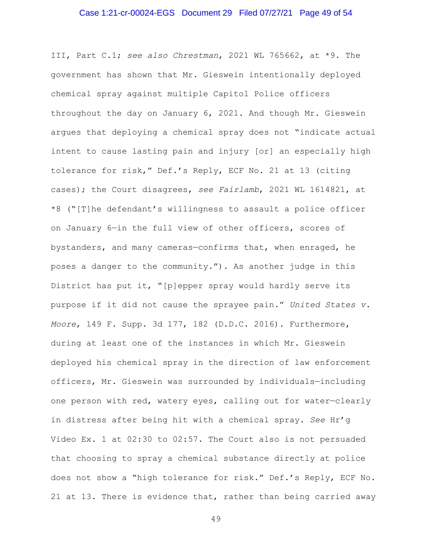# Case 1:21-cr-00024-EGS Document 29 Filed 07/27/21 Page 49 of 54

III, Part C.1; *see also Chrestman*, 2021 WL 765662, at \*9. The government has shown that Mr. Gieswein intentionally deployed chemical spray against multiple Capitol Police officers throughout the day on January 6, 2021. And though Mr. Gieswein argues that deploying a chemical spray does not "indicate actual intent to cause lasting pain and injury [or] an especially high tolerance for risk," Def.'s Reply, ECF No. 21 at 13 (citing cases); the Court disagrees, *see Fairlamb*, 2021 WL 1614821, at \*8 ("[T]he defendant's willingness to assault a police officer on January 6—in the full view of other officers, scores of bystanders, and many cameras—confirms that, when enraged, he poses a danger to the community."). As another judge in this District has put it, "[p]epper spray would hardly serve its purpose if it did not cause the sprayee pain." *United States v. Moore*, 149 F. Supp. 3d 177, 182 (D.D.C. 2016). Furthermore, during at least one of the instances in which Mr. Gieswein deployed his chemical spray in the direction of law enforcement officers, Mr. Gieswein was surrounded by individuals—including one person with red, watery eyes, calling out for water—clearly in distress after being hit with a chemical spray. *See* Hr'g Video Ex. 1 at 02:30 to 02:57. The Court also is not persuaded that choosing to spray a chemical substance directly at police does not show a "high tolerance for risk." Def.'s Reply, ECF No. 21 at 13. There is evidence that, rather than being carried away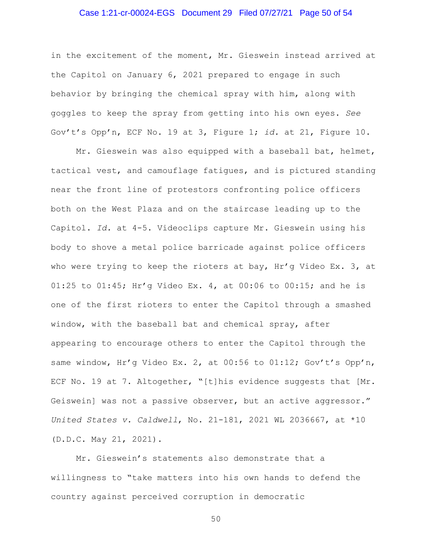#### Case 1:21-cr-00024-EGS Document 29 Filed 07/27/21 Page 50 of 54

in the excitement of the moment, Mr. Gieswein instead arrived at the Capitol on January 6, 2021 prepared to engage in such behavior by bringing the chemical spray with him, along with goggles to keep the spray from getting into his own eyes. *See*  Gov't's Opp'n, ECF No. 19 at 3, Figure 1; *id.* at 21, Figure 10.

Mr. Gieswein was also equipped with a baseball bat, helmet, tactical vest, and camouflage fatigues, and is pictured standing near the front line of protestors confronting police officers both on the West Plaza and on the staircase leading up to the Capitol. *Id.* at 4-5. Videoclips capture Mr. Gieswein using his body to shove a metal police barricade against police officers who were trying to keep the rioters at bay,  $\text{Hr/g}$  Video Ex. 3, at 01:25 to 01:45; Hr'g Video Ex. 4, at 00:06 to 00:15; and he is one of the first rioters to enter the Capitol through a smashed window, with the baseball bat and chemical spray, after appearing to encourage others to enter the Capitol through the same window, Hr'g Video Ex. 2, at 00:56 to 01:12; Gov't's Opp'n, ECF No. 19 at 7. Altogether, "[t]his evidence suggests that [Mr. Geiswein] was not a passive observer, but an active aggressor." *United States v. Caldwell*, No. 21-181, 2021 WL 2036667, at \*10 (D.D.C. May 21, 2021).

Mr. Gieswein's statements also demonstrate that a willingness to "take matters into his own hands to defend the country against perceived corruption in democratic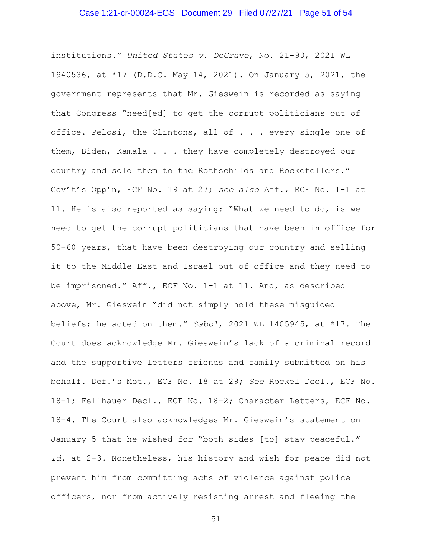#### Case 1:21-cr-00024-EGS Document 29 Filed 07/27/21 Page 51 of 54

institutions." *United States v. DeGrave*, No. 21-90, 2021 WL 1940536, at \*17 (D.D.C. May 14, 2021). On January 5, 2021, the government represents that Mr. Gieswein is recorded as saying that Congress "need[ed] to get the corrupt politicians out of office. Pelosi, the Clintons, all of . . . every single one of them, Biden, Kamala . . . they have completely destroyed our country and sold them to the Rothschilds and Rockefellers." Gov't's Opp'n, ECF No. 19 at 27; *see also* Aff., ECF No. 1-1 at 11. He is also reported as saying: "What we need to do, is we need to get the corrupt politicians that have been in office for 50-60 years, that have been destroying our country and selling it to the Middle East and Israel out of office and they need to be imprisoned." Aff., ECF No. 1-1 at 11. And, as described above, Mr. Gieswein "did not simply hold these misguided beliefs; he acted on them." *Sabol*, 2021 WL 1405945, at \*17. The Court does acknowledge Mr. Gieswein's lack of a criminal record and the supportive letters friends and family submitted on his behalf. Def.'s Mot., ECF No. 18 at 29; *See* Rockel Decl., ECF No. 18-1; Fellhauer Decl., ECF No. 18-2; Character Letters, ECF No. 18-4. The Court also acknowledges Mr. Gieswein's statement on January 5 that he wished for "both sides [to] stay peaceful." *Id.* at 2-3. Nonetheless, his history and wish for peace did not prevent him from committing acts of violence against police officers, nor from actively resisting arrest and fleeing the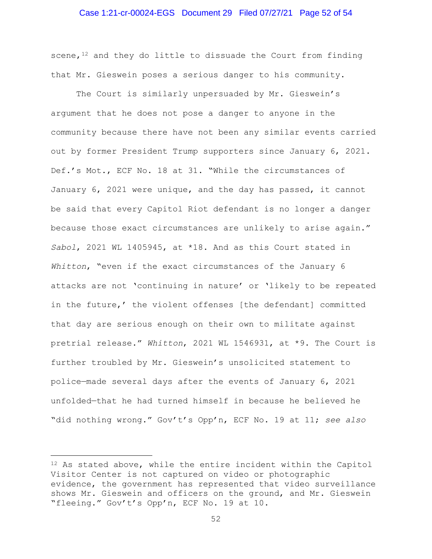#### Case 1:21-cr-00024-EGS Document 29 Filed 07/27/21 Page 52 of 54

scene, $12$  and they do little to dissuade the Court from finding that Mr. Gieswein poses a serious danger to his community.

The Court is similarly unpersuaded by Mr. Gieswein's argument that he does not pose a danger to anyone in the community because there have not been any similar events carried out by former President Trump supporters since January 6, 2021. Def.'s Mot., ECF No. 18 at 31. "While the circumstances of January 6, 2021 were unique, and the day has passed, it cannot be said that every Capitol Riot defendant is no longer a danger because those exact circumstances are unlikely to arise again." *Sabol*, 2021 WL 1405945, at \*18. And as this Court stated in *Whitton*, "even if the exact circumstances of the January 6 attacks are not 'continuing in nature' or 'likely to be repeated in the future,' the violent offenses [the defendant] committed that day are serious enough on their own to militate against pretrial release." *Whitton*, 2021 WL 1546931, at \*9. The Court is further troubled by Mr. Gieswein's unsolicited statement to police—made several days after the events of January 6, 2021 unfolded—that he had turned himself in because he believed he "did nothing wrong." Gov't's Opp'n, ECF No. 19 at 11; *see also* 

<sup>12</sup> As stated above, while the entire incident within the Capitol Visitor Center is not captured on video or photographic evidence, the government has represented that video surveillance shows Mr. Gieswein and officers on the ground, and Mr. Gieswein "fleeing." Gov't's Opp'n, ECF No. 19 at 10.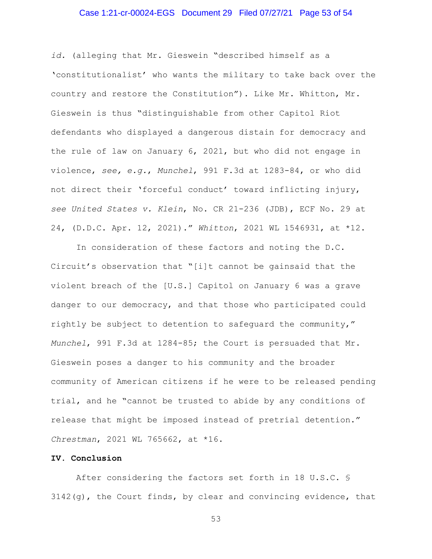#### Case 1:21-cr-00024-EGS Document 29 Filed 07/27/21 Page 53 of 54

*id.* (alleging that Mr. Gieswein "described himself as a 'constitutionalist' who wants the military to take back over the country and restore the Constitution"). Like Mr. Whitton, Mr. Gieswein is thus "distinguishable from other Capitol Riot defendants who displayed a dangerous distain for democracy and the rule of law on January 6, 2021, but who did not engage in violence, *see, e.g.*, *Munchel*, 991 F.3d at 1283-84, or who did not direct their 'forceful conduct' toward inflicting injury, *see United States v. Klein*, No. CR 21-236 (JDB), ECF No. 29 at 24, (D.D.C. Apr. 12, 2021)." *Whitton*, 2021 WL 1546931, at \*12.

In consideration of these factors and noting the D.C. Circuit's observation that "[i]t cannot be gainsaid that the violent breach of the [U.S.] Capitol on January 6 was a grave danger to our democracy, and that those who participated could rightly be subject to detention to safeguard the community," *Munchel*, 991 F.3d at 1284-85; the Court is persuaded that Mr. Gieswein poses a danger to his community and the broader community of American citizens if he were to be released pending trial, and he "cannot be trusted to abide by any conditions of release that might be imposed instead of pretrial detention." *Chrestman*, 2021 WL 765662, at \*16.

#### **IV. Conclusion**

After considering the factors set forth in 18 U.S.C. § 3142(g), the Court finds, by clear and convincing evidence, that